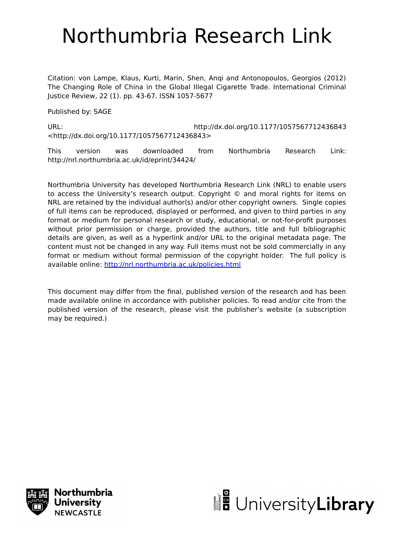# Northumbria Research Link

Citation: von Lampe, Klaus, Kurti, Marin, Shen, Anqi and Antonopoulos, Georgios (2012) The Changing Role of China in the Global Illegal Cigarette Trade. International Criminal Justice Review, 22 (1). pp. 43-67. ISSN 1057-5677

Published by: SAGE

URL: http://dx.doi.org/10.1177/1057567712436843 <http://dx.doi.org/10.1177/1057567712436843>

This version was downloaded from Northumbria Research Link: http://nrl.northumbria.ac.uk/id/eprint/34424/

Northumbria University has developed Northumbria Research Link (NRL) to enable users to access the University's research output. Copyright © and moral rights for items on NRL are retained by the individual author(s) and/or other copyright owners. Single copies of full items can be reproduced, displayed or performed, and given to third parties in any format or medium for personal research or study, educational, or not-for-profit purposes without prior permission or charge, provided the authors, title and full bibliographic details are given, as well as a hyperlink and/or URL to the original metadata page. The content must not be changed in any way. Full items must not be sold commercially in any format or medium without formal permission of the copyright holder. The full policy is available online:<http://nrl.northumbria.ac.uk/policies.html>

This document may differ from the final, published version of the research and has been made available online in accordance with publisher policies. To read and/or cite from the published version of the research, please visit the publisher's website (a subscription may be required.)



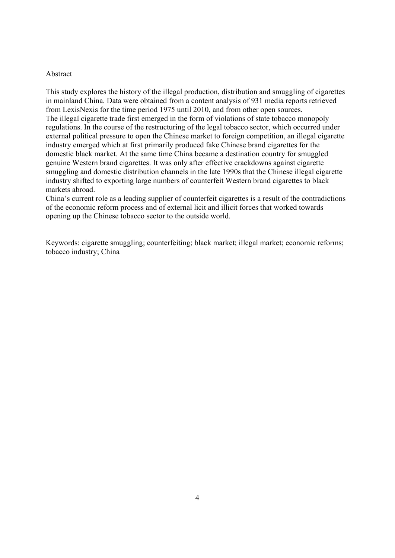#### Abstract

This study explores the history of the illegal production, distribution and smuggling of cigarettes in mainland China. Data were obtained from a content analysis of 931 media reports retrieved from LexisNexis for the time period 1975 until 2010, and from other open sources. The illegal cigarette trade first emerged in the form of violations of state tobacco monopoly regulations. In the course of the restructuring of the legal tobacco sector, which occurred under external political pressure to open the Chinese market to foreign competition, an illegal cigarette industry emerged which at first primarily produced fake Chinese brand cigarettes for the domestic black market. At the same time China became a destination country for smuggled genuine Western brand cigarettes. It was only after effective crackdowns against cigarette smuggling and domestic distribution channels in the late 1990s that the Chinese illegal cigarette industry shifted to exporting large numbers of counterfeit Western brand cigarettes to black markets abroad.

China's current role as a leading supplier of counterfeit cigarettes is a result of the contradictions of the economic reform process and of external licit and illicit forces that worked towards opening up the Chinese tobacco sector to the outside world.

Keywords: cigarette smuggling; counterfeiting; black market; illegal market; economic reforms; tobacco industry; China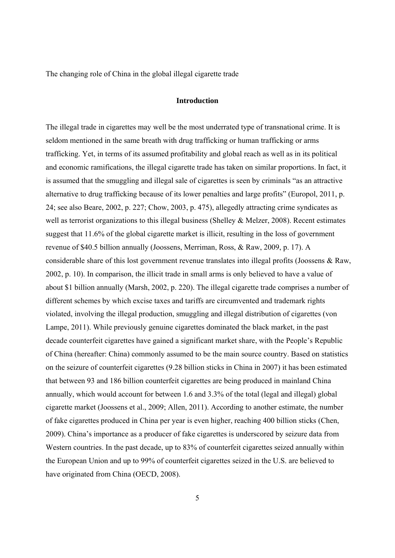The changing role of China in the global illegal cigarette trade

## **Introduction**

The illegal trade in cigarettes may well be the most underrated type of transnational crime. It is seldom mentioned in the same breath with drug trafficking or human trafficking or arms trafficking. Yet, in terms of its assumed profitability and global reach as well as in its political and economic ramifications, the illegal cigarette trade has taken on similar proportions. In fact, it is assumed that the smuggling and illegal sale of cigarettes is seen by criminals "as an attractive alternative to drug trafficking because of its lower penalties and large profits" (Europol, 2011, p. 24; see also Beare, 2002, p. 227; Chow, 2003, p. 475), allegedly attracting crime syndicates as well as terrorist organizations to this illegal business (Shelley & Melzer, 2008). Recent estimates suggest that 11.6% of the global cigarette market is illicit, resulting in the loss of government revenue of \$40.5 billion annually (Joossens, Merriman, Ross, & Raw, 2009, p. 17). A considerable share of this lost government revenue translates into illegal profits (Joossens & Raw, 2002, p. 10). In comparison, the illicit trade in small arms is only believed to have a value of about \$1 billion annually (Marsh, 2002, p. 220). The illegal cigarette trade comprises a number of different schemes by which excise taxes and tariffs are circumvented and trademark rights violated, involving the illegal production, smuggling and illegal distribution of cigarettes (von Lampe, 2011). While previously genuine cigarettes dominated the black market, in the past decade counterfeit cigarettes have gained a significant market share, with the People's Republic of China (hereafter: China) commonly assumed to be the main source country. Based on statistics on the seizure of counterfeit cigarettes (9.28 billion sticks in China in 2007) it has been estimated that between 93 and 186 billion counterfeit cigarettes are being produced in mainland China annually, which would account for between 1.6 and 3.3% of the total (legal and illegal) global cigarette market (Joossens et al., 2009; Allen, 2011). According to another estimate, the number of fake cigarettes produced in China per year is even higher, reaching 400 billion sticks (Chen, 2009). China's importance as a producer of fake cigarettes is underscored by seizure data from Western countries. In the past decade, up to 83% of counterfeit cigarettes seized annually within the European Union and up to 99% of counterfeit cigarettes seized in the U.S. are believed to have originated from China (OECD, 2008).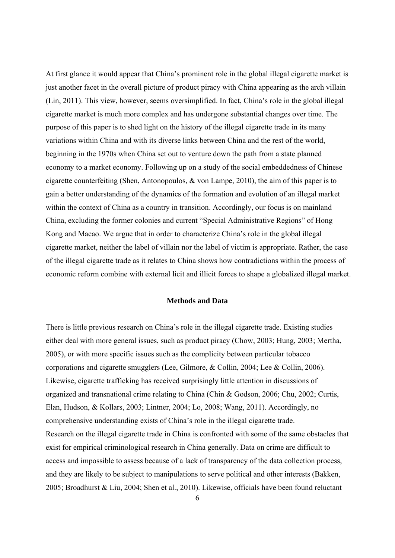At first glance it would appear that China's prominent role in the global illegal cigarette market is just another facet in the overall picture of product piracy with China appearing as the arch villain (Lin, 2011). This view, however, seems oversimplified. In fact, China's role in the global illegal cigarette market is much more complex and has undergone substantial changes over time. The purpose of this paper is to shed light on the history of the illegal cigarette trade in its many variations within China and with its diverse links between China and the rest of the world, beginning in the 1970s when China set out to venture down the path from a state planned economy to a market economy. Following up on a study of the social embeddedness of Chinese cigarette counterfeiting (Shen, Antonopoulos, & von Lampe, 2010), the aim of this paper is to gain a better understanding of the dynamics of the formation and evolution of an illegal market within the context of China as a country in transition. Accordingly, our focus is on mainland China, excluding the former colonies and current "Special Administrative Regions" of Hong Kong and Macao. We argue that in order to characterize China's role in the global illegal cigarette market, neither the label of villain nor the label of victim is appropriate. Rather, the case of the illegal cigarette trade as it relates to China shows how contradictions within the process of economic reform combine with external licit and illicit forces to shape a globalized illegal market.

## **Methods and Data**

There is little previous research on China's role in the illegal cigarette trade. Existing studies either deal with more general issues, such as product piracy (Chow, 2003; Hung, 2003; Mertha, 2005), or with more specific issues such as the complicity between particular tobacco corporations and cigarette smugglers (Lee, Gilmore, & Collin, 2004; Lee & Collin, 2006). Likewise, cigarette trafficking has received surprisingly little attention in discussions of organized and transnational crime relating to China (Chin & Godson, 2006; Chu, 2002; Curtis, Elan, Hudson, & Kollars, 2003; Lintner, 2004; Lo, 2008; Wang, 2011). Accordingly, no comprehensive understanding exists of China's role in the illegal cigarette trade. Research on the illegal cigarette trade in China is confronted with some of the same obstacles that exist for empirical criminological research in China generally. Data on crime are difficult to access and impossible to assess because of a lack of transparency of the data collection process, and they are likely to be subject to manipulations to serve political and other interests (Bakken, 2005; Broadhurst & Liu, 2004; Shen et al., 2010). Likewise, officials have been found reluctant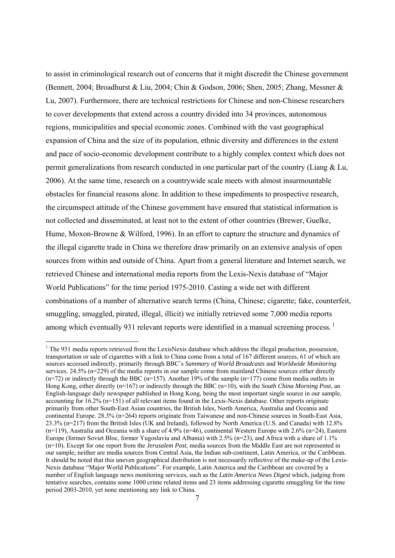to assist in criminological research out of concerns that it might discredit the Chinese government (Bennett, 2004; Broadhurst & Liu, 2004; Chin & Godson, 2006; Shen, 2005; Zhang, Messner & Lu, 2007). Furthermore, there are technical restrictions for Chinese and non-Chinese researchers to cover developments that extend across a country divided into 34 provinces, autonomous regions, municipalities and special economic zones. Combined with the vast geographical expansion of China and the size of its population, ethnic diversity and differences in the extent and pace of socio-economic development contribute to a highly complex context which does not permit generalizations from research conducted in one particular part of the country (Liang  $& \text{Lu}$ , 2006). At the same time, research on a countrywide scale meets with almost insurmountable obstacles for financial reasons alone. In addition to these impediments to prospective research, the circumspect attitude of the Chinese government have ensured that statistical information is not collected and disseminated, at least not to the extent of other countries (Brewer, Guelke, Hume, Moxon-Browne & Wilford, 1996). In an effort to capture the structure and dynamics of the illegal cigarette trade in China we therefore draw primarily on an extensive analysis of open sources from within and outside of China. Apart from a general literature and Internet search, we retrieved Chinese and international media reports from the Lexis-Nexis database of "Major World Publications" for the time period 1975-2010. Casting a wide net with different combinations of a number of alternative search terms (China, Chinese; cigarette; fake, counterfeit, smuggling, smuggled, pirated, illegal, illicit) we initially retrieved some 7,000 media reports among which eventually 931 relevant reports were identified in a manual screening process.<sup>1</sup>

-

 $1$ <sup>1</sup> The 931 media reports retrieved from the LexisNexis database which address the illegal production, possession, transportation or sale of cigarettes with a link to China come from a total of 167 different sources, 61 of which are sources accessed indirectly, primarily through BBC's *Summary of World Broadcasts* and *Worldwide Monitoring* services. 24.5% (n=229) of the media reports in our sample come from mainland Chinese sources either directly  $(n=72)$  or indirectly through the BBC  $(n=157)$ . Another 19% of the sample  $(n=177)$  come from media outlets in Hong Kong, either directly (n=167) or indirectly through the BBC (n=10), with the *South China Morning Post*, an English-language daily newspaper published in Hong Kong, being the most important single source in our sample, accounting for 16.2% (n=151) of all relevant items found in the Lexis-Nexis database. Other reports originate primarily from other South-East Asian countries, the British Isles, North America, Australia and Oceania and continental Europe. 28.3% (n=264) reports originate from Taiwanese and non-Chinese sources in South-East Asia, 23.3% (n=217) from the British Isles (UK and Ireland), followed by North America (U.S. and Canada) with 12.8%  $(n=119)$ , Australia and Oceania with a share of 4.9% (n=46), continental Western Europe with 2.6% (n=24), Eastern Europe (former Soviet Bloc, former Yugoslavia and Albania) with 2.5% (n=23), and Africa with a share of 1.1% (n=10). Except for one report from the *Jerusalem Post*, media sources from the Middle East are not represented in our sample; neither are media sources from Central Asia, the Indian sub-continent, Latin America, or the Caribbean. It should be noted that this uneven geographical distribution is not necessarily reflective of the make-up of the Lexis-Nexis database "Major World Publications". For example, Latin America and the Caribbean are covered by a number of English language news monitoring services, such as the *Latin America News Digest* which, judging from tentative searches, contains some 1000 crime related items and 23 items addressing cigarette smuggling for the time period 2003-2010, yet none mentioning any link to China.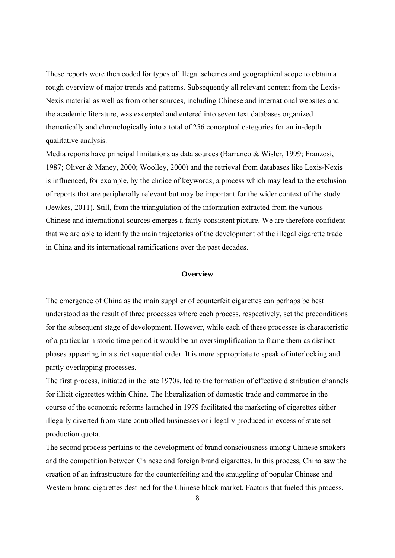These reports were then coded for types of illegal schemes and geographical scope to obtain a rough overview of major trends and patterns. Subsequently all relevant content from the Lexis-Nexis material as well as from other sources, including Chinese and international websites and the academic literature, was excerpted and entered into seven text databases organized thematically and chronologically into a total of 256 conceptual categories for an in-depth qualitative analysis.

Media reports have principal limitations as data sources (Barranco & Wisler, 1999; Franzosi, 1987; Oliver & Maney, 2000; Woolley, 2000) and the retrieval from databases like Lexis-Nexis is influenced, for example, by the choice of keywords, a process which may lead to the exclusion of reports that are peripherally relevant but may be important for the wider context of the study (Jewkes, 2011). Still, from the triangulation of the information extracted from the various Chinese and international sources emerges a fairly consistent picture. We are therefore confident that we are able to identify the main trajectories of the development of the illegal cigarette trade in China and its international ramifications over the past decades.

## **Overview**

The emergence of China as the main supplier of counterfeit cigarettes can perhaps be best understood as the result of three processes where each process, respectively, set the preconditions for the subsequent stage of development. However, while each of these processes is characteristic of a particular historic time period it would be an oversimplification to frame them as distinct phases appearing in a strict sequential order. It is more appropriate to speak of interlocking and partly overlapping processes.

The first process, initiated in the late 1970s, led to the formation of effective distribution channels for illicit cigarettes within China. The liberalization of domestic trade and commerce in the course of the economic reforms launched in 1979 facilitated the marketing of cigarettes either illegally diverted from state controlled businesses or illegally produced in excess of state set production quota.

The second process pertains to the development of brand consciousness among Chinese smokers and the competition between Chinese and foreign brand cigarettes. In this process, China saw the creation of an infrastructure for the counterfeiting and the smuggling of popular Chinese and Western brand cigarettes destined for the Chinese black market. Factors that fueled this process,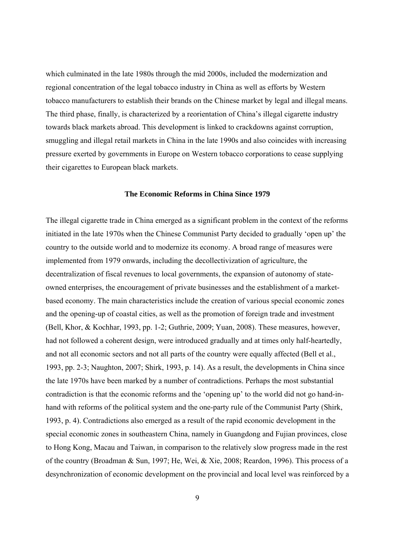which culminated in the late 1980s through the mid 2000s, included the modernization and regional concentration of the legal tobacco industry in China as well as efforts by Western tobacco manufacturers to establish their brands on the Chinese market by legal and illegal means. The third phase, finally, is characterized by a reorientation of China's illegal cigarette industry towards black markets abroad. This development is linked to crackdowns against corruption, smuggling and illegal retail markets in China in the late 1990s and also coincides with increasing pressure exerted by governments in Europe on Western tobacco corporations to cease supplying their cigarettes to European black markets.

## **The Economic Reforms in China Since 1979**

The illegal cigarette trade in China emerged as a significant problem in the context of the reforms initiated in the late 1970s when the Chinese Communist Party decided to gradually 'open up' the country to the outside world and to modernize its economy. A broad range of measures were implemented from 1979 onwards, including the decollectivization of agriculture, the decentralization of fiscal revenues to local governments, the expansion of autonomy of stateowned enterprises, the encouragement of private businesses and the establishment of a marketbased economy. The main characteristics include the creation of various special economic zones and the opening-up of coastal cities, as well as the promotion of foreign trade and investment (Bell, Khor, & Kochhar, 1993, pp. 1-2; Guthrie, 2009; Yuan, 2008). These measures, however, had not followed a coherent design, were introduced gradually and at times only half-heartedly, and not all economic sectors and not all parts of the country were equally affected (Bell et al., 1993, pp. 2-3; Naughton, 2007; Shirk, 1993, p. 14). As a result, the developments in China since the late 1970s have been marked by a number of contradictions. Perhaps the most substantial contradiction is that the economic reforms and the 'opening up' to the world did not go hand-inhand with reforms of the political system and the one-party rule of the Communist Party (Shirk, 1993, p. 4). Contradictions also emerged as a result of the rapid economic development in the special economic zones in southeastern China, namely in Guangdong and Fujian provinces, close to Hong Kong, Macau and Taiwan, in comparison to the relatively slow progress made in the rest of the country (Broadman & Sun, 1997; He, Wei, & Xie, 2008; Reardon, 1996). This process of a desynchronization of economic development on the provincial and local level was reinforced by a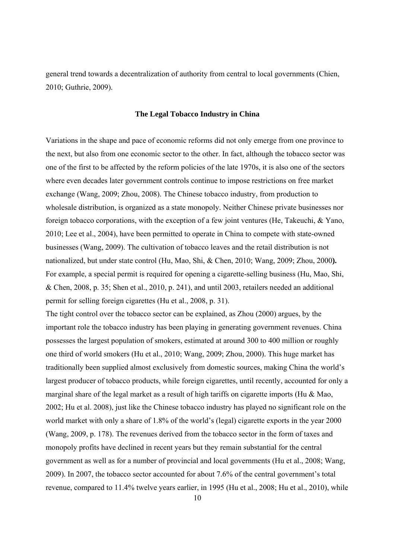general trend towards a decentralization of authority from central to local governments (Chien, 2010; Guthrie, 2009).

## **The Legal Tobacco Industry in China**

Variations in the shape and pace of economic reforms did not only emerge from one province to the next, but also from one economic sector to the other. In fact, although the tobacco sector was one of the first to be affected by the reform policies of the late 1970s, it is also one of the sectors where even decades later government controls continue to impose restrictions on free market exchange (Wang, 2009; Zhou, 2008). The Chinese tobacco industry, from production to wholesale distribution, is organized as a state monopoly. Neither Chinese private businesses nor foreign tobacco corporations, with the exception of a few joint ventures (He, Takeuchi, & Yano, 2010; Lee et al., 2004), have been permitted to operate in China to compete with state-owned businesses (Wang, 2009). The cultivation of tobacco leaves and the retail distribution is not nationalized, but under state control (Hu, Mao, Shi, & Chen, 2010; Wang, 2009; Zhou, 2000**).**  For example, a special permit is required for opening a cigarette-selling business (Hu, Mao, Shi, & Chen, 2008, p. 35; Shen et al., 2010, p. 241), and until 2003, retailers needed an additional permit for selling foreign cigarettes (Hu et al., 2008, p. 31).

The tight control over the tobacco sector can be explained, as Zhou (2000) argues, by the important role the tobacco industry has been playing in generating government revenues. China possesses the largest population of smokers, estimated at around 300 to 400 million or roughly one third of world smokers (Hu et al., 2010; Wang, 2009; Zhou, 2000). This huge market has traditionally been supplied almost exclusively from domestic sources, making China the world's largest producer of tobacco products, while foreign cigarettes, until recently, accounted for only a marginal share of the legal market as a result of high tariffs on cigarette imports (Hu  $\&$  Mao, 2002; Hu et al. 2008), just like the Chinese tobacco industry has played no significant role on the world market with only a share of 1.8% of the world's (legal) cigarette exports in the year 2000 (Wang, 2009, p. 178). The revenues derived from the tobacco sector in the form of taxes and monopoly profits have declined in recent years but they remain substantial for the central government as well as for a number of provincial and local governments (Hu et al., 2008; Wang, 2009). In 2007, the tobacco sector accounted for about 7.6% of the central government's total revenue, compared to 11.4% twelve years earlier, in 1995 (Hu et al., 2008; Hu et al., 2010), while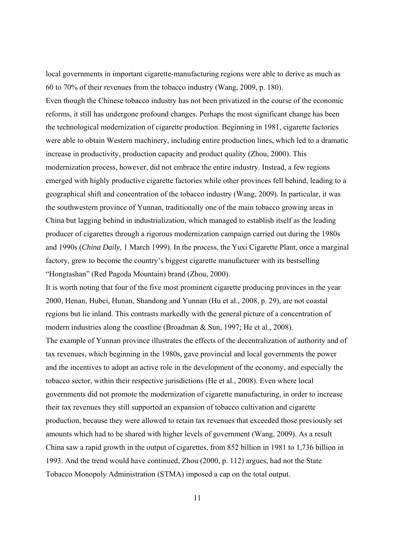local governments in important cigarette-manufacturing regions were able to derive as much as 60 to 70% of their revenues from the tobacco industry (Wang, 2009, p. 180).

Even though the Chinese tobacco industry has not been privatized in the course of the economic reforms, it still has undergone profound changes. Perhaps the most significant change has been the technological modernization of cigarette production. Beginning in 1981, cigarette factories were able to obtain Western machinery, including entire production lines, which led to a dramatic increase in productivity, production capacity and product quality (Zhou, 2000). This modernization process, however, did not embrace the entire industry. Instead, a few regions emerged with highly productive cigarette factories while other provinces fell behind, leading to a geographical shift and concentration of the tobacco industry (Wang, 2009). In particular, it was the southwestern province of Yunnan, traditionally one of the main tobacco growing areas in China but lagging behind in industrialization, which managed to establish itself as the leading producer of cigarettes through a rigorous modernization campaign carried out during the 1980s and 1990s (*China Daily*, 1 March 1999). In the process, the Yuxi Cigarette Plant, once a marginal factory, grew to become the country's biggest cigarette manufacturer with its bestselling "Hongtashan" (Red Pagoda Mountain) brand (Zhou, 2000).

It is worth noting that four of the five most prominent cigarette producing provinces in the year 2000, Henan, Hubei, Hunan, Shandong and Yunnan (Hu et al., 2008, p. 29), are not coastal regions but lie inland. This contrasts markedly with the general picture of a concentration of modern industries along the coastline (Broadman & Sun, 1997; He et al., 2008).

The example of Yunnan province illustrates the effects of the decentralization of authority and of tax revenues, which beginning in the 1980s, gave provincial and local governments the power and the incentives to adopt an active role in the development of the economy, and especially the tobacco sector, within their respective jurisdictions (He et al., 2008). Even where local governments did not promote the modernization of cigarette manufacturing, in order to increase their tax revenues they still supported an expansion of tobacco cultivation and cigarette production, because they were allowed to retain tax revenues that exceeded those previously set amounts which had to be shared with higher levels of government (Wang, 2009). As a result China saw a rapid growth in the output of cigarettes, from 852 billion in 1981 to 1,736 billion in 1993. And the trend would have continued, Zhou (2000, p. 112) argues, had not the State Tobacco Monopoly Administration (STMA) imposed a cap on the total output.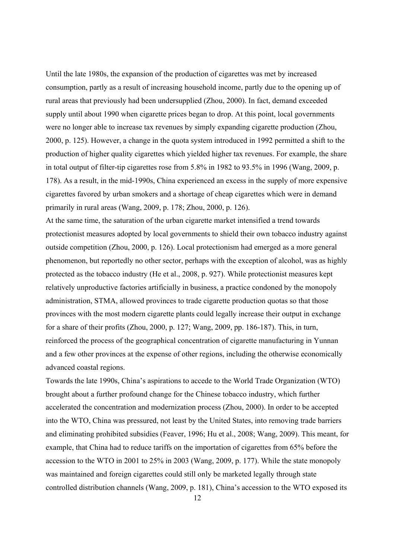Until the late 1980s, the expansion of the production of cigarettes was met by increased consumption, partly as a result of increasing household income, partly due to the opening up of rural areas that previously had been undersupplied (Zhou, 2000). In fact, demand exceeded supply until about 1990 when cigarette prices began to drop. At this point, local governments were no longer able to increase tax revenues by simply expanding cigarette production (Zhou, 2000, p. 125). However, a change in the quota system introduced in 1992 permitted a shift to the production of higher quality cigarettes which yielded higher tax revenues. For example, the share in total output of filter-tip cigarettes rose from 5.8% in 1982 to 93.5% in 1996 (Wang, 2009, p. 178). As a result, in the mid-1990s, China experienced an excess in the supply of more expensive cigarettes favored by urban smokers and a shortage of cheap cigarettes which were in demand primarily in rural areas (Wang, 2009, p. 178; Zhou, 2000, p. 126).

At the same time, the saturation of the urban cigarette market intensified a trend towards protectionist measures adopted by local governments to shield their own tobacco industry against outside competition (Zhou, 2000, p. 126). Local protectionism had emerged as a more general phenomenon, but reportedly no other sector, perhaps with the exception of alcohol, was as highly protected as the tobacco industry (He et al., 2008, p. 927). While protectionist measures kept relatively unproductive factories artificially in business, a practice condoned by the monopoly administration, STMA, allowed provinces to trade cigarette production quotas so that those provinces with the most modern cigarette plants could legally increase their output in exchange for a share of their profits (Zhou, 2000, p. 127; Wang, 2009, pp. 186-187). This, in turn, reinforced the process of the geographical concentration of cigarette manufacturing in Yunnan and a few other provinces at the expense of other regions, including the otherwise economically advanced coastal regions.

Towards the late 1990s, China's aspirations to accede to the World Trade Organization (WTO) brought about a further profound change for the Chinese tobacco industry, which further accelerated the concentration and modernization process (Zhou, 2000). In order to be accepted into the WTO, China was pressured, not least by the United States, into removing trade barriers and eliminating prohibited subsidies (Feaver, 1996; Hu et al., 2008; Wang, 2009). This meant, for example, that China had to reduce tariffs on the importation of cigarettes from 65% before the accession to the WTO in 2001 to 25% in 2003 (Wang, 2009, p. 177). While the state monopoly was maintained and foreign cigarettes could still only be marketed legally through state controlled distribution channels (Wang, 2009, p. 181), China's accession to the WTO exposed its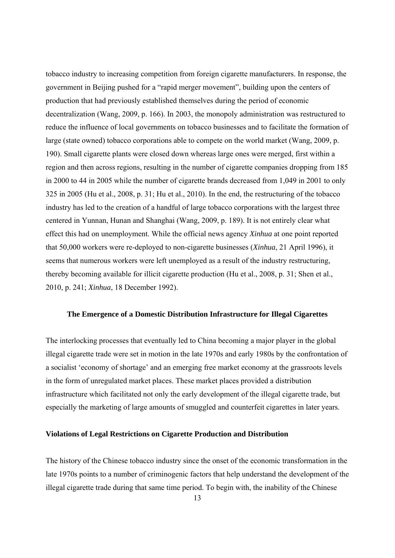tobacco industry to increasing competition from foreign cigarette manufacturers. In response, the government in Beijing pushed for a "rapid merger movement", building upon the centers of production that had previously established themselves during the period of economic decentralization (Wang, 2009, p. 166). In 2003, the monopoly administration was restructured to reduce the influence of local governments on tobacco businesses and to facilitate the formation of large (state owned) tobacco corporations able to compete on the world market (Wang, 2009, p. 190). Small cigarette plants were closed down whereas large ones were merged, first within a region and then across regions, resulting in the number of cigarette companies dropping from 185 in 2000 to 44 in 2005 while the number of cigarette brands decreased from 1,049 in 2001 to only 325 in 2005 (Hu et al., 2008, p. 31; Hu et al., 2010). In the end, the restructuring of the tobacco industry has led to the creation of a handful of large tobacco corporations with the largest three centered in Yunnan, Hunan and Shanghai (Wang, 2009, p. 189). It is not entirely clear what effect this had on unemployment. While the official news agency *Xinhua* at one point reported that 50,000 workers were re-deployed to non-cigarette businesses (*Xinhua*, 21 April 1996), it seems that numerous workers were left unemployed as a result of the industry restructuring, thereby becoming available for illicit cigarette production (Hu et al., 2008, p. 31; Shen et al., 2010, p. 241; *Xinhua*, 18 December 1992).

## **The Emergence of a Domestic Distribution Infrastructure for Illegal Cigarettes**

The interlocking processes that eventually led to China becoming a major player in the global illegal cigarette trade were set in motion in the late 1970s and early 1980s by the confrontation of a socialist 'economy of shortage' and an emerging free market economy at the grassroots levels in the form of unregulated market places. These market places provided a distribution infrastructure which facilitated not only the early development of the illegal cigarette trade, but especially the marketing of large amounts of smuggled and counterfeit cigarettes in later years.

# **Violations of Legal Restrictions on Cigarette Production and Distribution**

The history of the Chinese tobacco industry since the onset of the economic transformation in the late 1970s points to a number of criminogenic factors that help understand the development of the illegal cigarette trade during that same time period. To begin with, the inability of the Chinese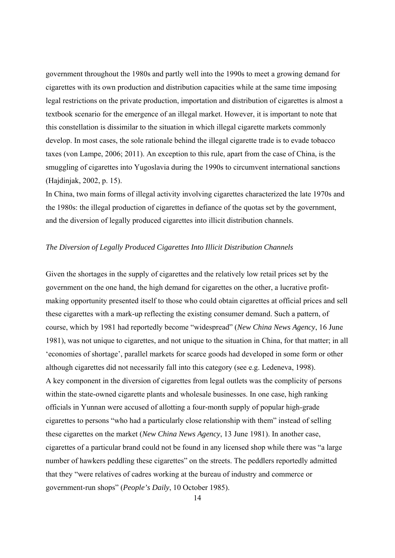government throughout the 1980s and partly well into the 1990s to meet a growing demand for cigarettes with its own production and distribution capacities while at the same time imposing legal restrictions on the private production, importation and distribution of cigarettes is almost a textbook scenario for the emergence of an illegal market. However, it is important to note that this constellation is dissimilar to the situation in which illegal cigarette markets commonly develop. In most cases, the sole rationale behind the illegal cigarette trade is to evade tobacco taxes (von Lampe, 2006; 2011). An exception to this rule, apart from the case of China, is the smuggling of cigarettes into Yugoslavia during the 1990s to circumvent international sanctions (Hajdinjak, 2002, p. 15).

In China, two main forms of illegal activity involving cigarettes characterized the late 1970s and the 1980s: the illegal production of cigarettes in defiance of the quotas set by the government, and the diversion of legally produced cigarettes into illicit distribution channels.

## *The Diversion of Legally Produced Cigarettes Into Illicit Distribution Channels*

Given the shortages in the supply of cigarettes and the relatively low retail prices set by the government on the one hand, the high demand for cigarettes on the other, a lucrative profitmaking opportunity presented itself to those who could obtain cigarettes at official prices and sell these cigarettes with a mark-up reflecting the existing consumer demand. Such a pattern, of course, which by 1981 had reportedly become "widespread" (*New China News Agency*, 16 June 1981), was not unique to cigarettes, and not unique to the situation in China, for that matter; in all 'economies of shortage', parallel markets for scarce goods had developed in some form or other although cigarettes did not necessarily fall into this category (see e.g. Ledeneva, 1998). A key component in the diversion of cigarettes from legal outlets was the complicity of persons within the state-owned cigarette plants and wholesale businesses. In one case, high ranking officials in Yunnan were accused of allotting a four-month supply of popular high-grade cigarettes to persons "who had a particularly close relationship with them" instead of selling these cigarettes on the market (*New China News Agency*, 13 June 1981). In another case, cigarettes of a particular brand could not be found in any licensed shop while there was "a large number of hawkers peddling these cigarettes" on the streets. The peddlers reportedly admitted that they "were relatives of cadres working at the bureau of industry and commerce or government-run shops" (*People's Daily*, 10 October 1985).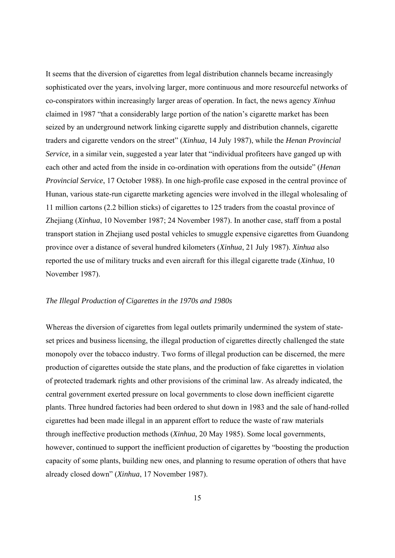It seems that the diversion of cigarettes from legal distribution channels became increasingly sophisticated over the years, involving larger, more continuous and more resourceful networks of co-conspirators within increasingly larger areas of operation. In fact, the news agency *Xinhua* claimed in 1987 "that a considerably large portion of the nation's cigarette market has been seized by an underground network linking cigarette supply and distribution channels, cigarette traders and cigarette vendors on the street" (*Xinhua*, 14 July 1987), while the *Henan Provincial Service,* in a similar vein, suggested a year later that "individual profiteers have ganged up with each other and acted from the inside in co-ordination with operations from the outside" (*Henan Provincial Service*, 17 October 1988). In one high-profile case exposed in the central province of Hunan, various state-run cigarette marketing agencies were involved in the illegal wholesaling of 11 million cartons (2.2 billion sticks) of cigarettes to 125 traders from the coastal province of Zhejiang (*Xinhua*, 10 November 1987; 24 November 1987). In another case, staff from a postal transport station in Zhejiang used postal vehicles to smuggle expensive cigarettes from Guandong province over a distance of several hundred kilometers (*Xinhua*, 21 July 1987). *Xinhua* also reported the use of military trucks and even aircraft for this illegal cigarette trade (*Xinhua*, 10 November 1987).

## *The Illegal Production of Cigarettes in the 1970s and 1980s*

Whereas the diversion of cigarettes from legal outlets primarily undermined the system of stateset prices and business licensing, the illegal production of cigarettes directly challenged the state monopoly over the tobacco industry. Two forms of illegal production can be discerned, the mere production of cigarettes outside the state plans, and the production of fake cigarettes in violation of protected trademark rights and other provisions of the criminal law. As already indicated, the central government exerted pressure on local governments to close down inefficient cigarette plants. Three hundred factories had been ordered to shut down in 1983 and the sale of hand-rolled cigarettes had been made illegal in an apparent effort to reduce the waste of raw materials through ineffective production methods (*Xinhua*, 20 May 1985). Some local governments, however, continued to support the inefficient production of cigarettes by "boosting the production capacity of some plants, building new ones, and planning to resume operation of others that have already closed down" (*Xinhua*, 17 November 1987).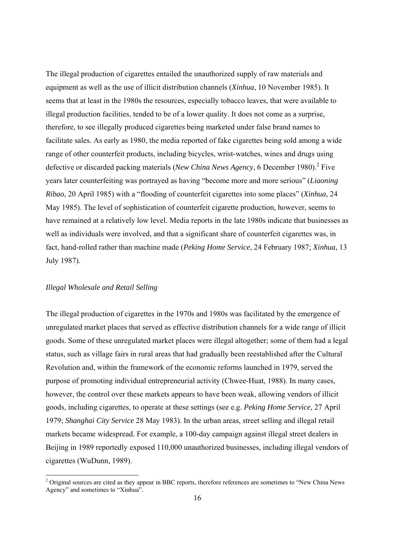The illegal production of cigarettes entailed the unauthorized supply of raw materials and equipment as well as the use of illicit distribution channels (*Xinhua*, 10 November 1985). It seems that at least in the 1980s the resources, especially tobacco leaves, that were available to illegal production facilities, tended to be of a lower quality. It does not come as a surprise, therefore, to see illegally produced cigarettes being marketed under false brand names to facilitate sales. As early as 1980, the media reported of fake cigarettes being sold among a wide range of other counterfeit products, including bicycles, wrist-watches, wines and drugs using defective or discarded packing materials (*New China News Agency*, 6 December 1980).<sup>2</sup> Five years later counterfeiting was portrayed as having "become more and more serious" (*Liaoning Ribao*, 20 April 1985) with a "flooding of counterfeit cigarettes into some places" (*Xinhua*, 24 May 1985). The level of sophistication of counterfeit cigarette production, however, seems to have remained at a relatively low level. Media reports in the late 1980s indicate that businesses as well as individuals were involved, and that a significant share of counterfeit cigarettes was, in fact, hand-rolled rather than machine made (*Peking Home Service*, 24 February 1987; *Xinhua*, 13 July 1987).

## *Illegal Wholesale and Retail Selling*

The illegal production of cigarettes in the 1970s and 1980s was facilitated by the emergence of unregulated market places that served as effective distribution channels for a wide range of illicit goods. Some of these unregulated market places were illegal altogether; some of them had a legal status, such as village fairs in rural areas that had gradually been reestablished after the Cultural Revolution and, within the framework of the economic reforms launched in 1979, served the purpose of promoting individual entrepreneurial activity (Chwee-Huat, 1988). In many cases, however, the control over these markets appears to have been weak, allowing vendors of illicit goods, including cigarettes, to operate at these settings (see e.g. *Peking Home Service*, 27 April 1979; *Shanghai City Service* 28 May 1983). In the urban areas, street selling and illegal retail markets became widespread. For example, a 100-day campaign against illegal street dealers in Beijing in 1989 reportedly exposed 110,000 unauthorized businesses, including illegal vendors of cigarettes (WuDunn, 1989).

<sup>&</sup>lt;sup>2</sup> Original sources are cited as they appear in BBC reports, therefore references are sometimes to "New China News" Agency" and sometimes to "Xinhua".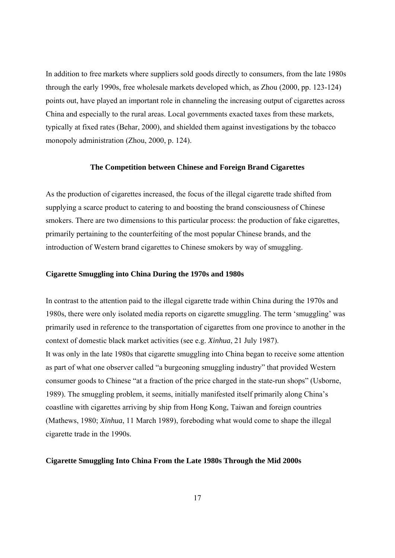In addition to free markets where suppliers sold goods directly to consumers, from the late 1980s through the early 1990s, free wholesale markets developed which, as Zhou (2000, pp. 123-124) points out, have played an important role in channeling the increasing output of cigarettes across China and especially to the rural areas. Local governments exacted taxes from these markets, typically at fixed rates (Behar, 2000), and shielded them against investigations by the tobacco monopoly administration (Zhou, 2000, p. 124).

#### **The Competition between Chinese and Foreign Brand Cigarettes**

As the production of cigarettes increased, the focus of the illegal cigarette trade shifted from supplying a scarce product to catering to and boosting the brand consciousness of Chinese smokers. There are two dimensions to this particular process: the production of fake cigarettes, primarily pertaining to the counterfeiting of the most popular Chinese brands, and the introduction of Western brand cigarettes to Chinese smokers by way of smuggling.

# **Cigarette Smuggling into China During the 1970s and 1980s**

In contrast to the attention paid to the illegal cigarette trade within China during the 1970s and 1980s, there were only isolated media reports on cigarette smuggling. The term 'smuggling' was primarily used in reference to the transportation of cigarettes from one province to another in the context of domestic black market activities (see e.g. *Xinhua*, 21 July 1987). It was only in the late 1980s that cigarette smuggling into China began to receive some attention as part of what one observer called "a burgeoning smuggling industry" that provided Western consumer goods to Chinese "at a fraction of the price charged in the state-run shops" (Usborne, 1989). The smuggling problem, it seems, initially manifested itself primarily along China's coastline with cigarettes arriving by ship from Hong Kong, Taiwan and foreign countries (Mathews, 1980; *Xinhua*, 11 March 1989), foreboding what would come to shape the illegal cigarette trade in the 1990s.

#### **Cigarette Smuggling Into China From the Late 1980s Through the Mid 2000s**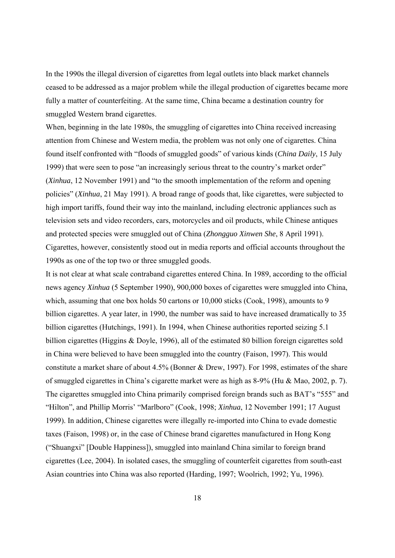In the 1990s the illegal diversion of cigarettes from legal outlets into black market channels ceased to be addressed as a major problem while the illegal production of cigarettes became more fully a matter of counterfeiting. At the same time, China became a destination country for smuggled Western brand cigarettes.

When, beginning in the late 1980s, the smuggling of cigarettes into China received increasing attention from Chinese and Western media, the problem was not only one of cigarettes. China found itself confronted with "floods of smuggled goods" of various kinds (*China Daily*, 15 July 1999) that were seen to pose "an increasingly serious threat to the country's market order" (*Xinhua*, 12 November 1991) and "to the smooth implementation of the reform and opening policies" (*Xinhua*, 21 May 1991). A broad range of goods that, like cigarettes, were subjected to high import tariffs, found their way into the mainland, including electronic appliances such as television sets and video recorders, cars, motorcycles and oil products, while Chinese antiques and protected species were smuggled out of China (*Zhongguo Xinwen She*, 8 April 1991). Cigarettes, however, consistently stood out in media reports and official accounts throughout the 1990s as one of the top two or three smuggled goods.

It is not clear at what scale contraband cigarettes entered China. In 1989, according to the official news agency *Xinhua* (5 September 1990), 900,000 boxes of cigarettes were smuggled into China, which, assuming that one box holds 50 cartons or 10,000 sticks (Cook, 1998), amounts to 9 billion cigarettes. A year later, in 1990, the number was said to have increased dramatically to 35 billion cigarettes (Hutchings, 1991). In 1994, when Chinese authorities reported seizing 5.1 billion cigarettes (Higgins & Doyle, 1996), all of the estimated 80 billion foreign cigarettes sold in China were believed to have been smuggled into the country (Faison, 1997). This would constitute a market share of about 4.5% (Bonner & Drew, 1997). For 1998, estimates of the share of smuggled cigarettes in China's cigarette market were as high as 8-9% (Hu & Mao, 2002, p. 7). The cigarettes smuggled into China primarily comprised foreign brands such as BAT's "555" and "Hilton", and Phillip Morris' "Marlboro" (Cook, 1998; *Xinhua*, 12 November 1991; 17 August 1999). In addition, Chinese cigarettes were illegally re-imported into China to evade domestic taxes (Faison, 1998) or, in the case of Chinese brand cigarettes manufactured in Hong Kong ("Shuangxi" [Double Happiness]), smuggled into mainland China similar to foreign brand cigarettes (Lee, 2004). In isolated cases, the smuggling of counterfeit cigarettes from south-east Asian countries into China was also reported (Harding, 1997; Woolrich, 1992; Yu, 1996).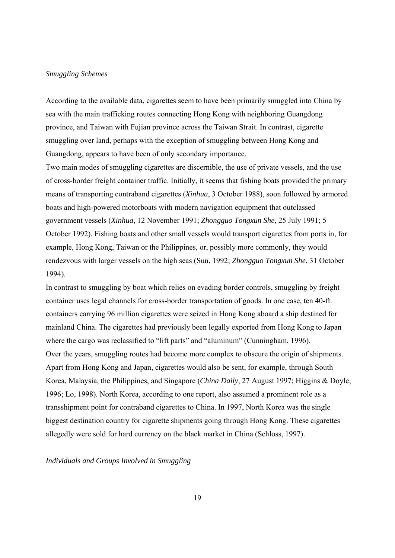#### *Smuggling Schemes*

According to the available data, cigarettes seem to have been primarily smuggled into China by sea with the main trafficking routes connecting Hong Kong with neighboring Guangdong province, and Taiwan with Fujian province across the Taiwan Strait. In contrast, cigarette smuggling over land, perhaps with the exception of smuggling between Hong Kong and Guangdong, appears to have been of only secondary importance.

Two main modes of smuggling cigarettes are discernible, the use of private vessels, and the use of cross-border freight container traffic. Initially, it seems that fishing boats provided the primary means of transporting contraband cigarettes (*Xinhua*, 3 October 1988), soon followed by armored boats and high-powered motorboats with modern navigation equipment that outclassed government vessels (*Xinhua*, 12 November 1991; *Zhongguo Tongxun She*, 25 July 1991; 5 October 1992). Fishing boats and other small vessels would transport cigarettes from ports in, for example, Hong Kong, Taiwan or the Philippines, or, possibly more commonly, they would rendezvous with larger vessels on the high seas (Sun, 1992; *Zhongguo Tongxun She*, 31 October 1994).

In contrast to smuggling by boat which relies on evading border controls, smuggling by freight container uses legal channels for cross-border transportation of goods. In one case, ten 40-ft. containers carrying 96 million cigarettes were seized in Hong Kong aboard a ship destined for mainland China. The cigarettes had previously been legally exported from Hong Kong to Japan where the cargo was reclassified to "lift parts" and "aluminum" (Cunningham, 1996). Over the years, smuggling routes had become more complex to obscure the origin of shipments. Apart from Hong Kong and Japan, cigarettes would also be sent, for example, through South Korea, Malaysia, the Philippines, and Singapore (*China Daily*, 27 August 1997; Higgins & Doyle, 1996; Lo, 1998). North Korea, according to one report, also assumed a prominent role as a transshipment point for contraband cigarettes to China. In 1997, North Korea was the single biggest destination country for cigarette shipments going through Hong Kong. These cigarettes allegedly were sold for hard currency on the black market in China (Schloss, 1997).

*Individuals and Groups Involved in Smuggling*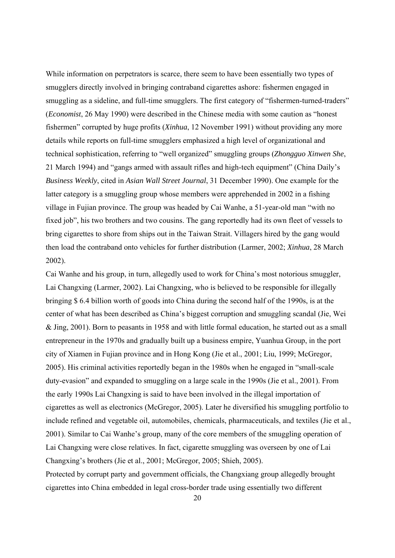While information on perpetrators is scarce, there seem to have been essentially two types of smugglers directly involved in bringing contraband cigarettes ashore: fishermen engaged in smuggling as a sideline, and full-time smugglers. The first category of "fishermen-turned-traders" (*Economist*, 26 May 1990) were described in the Chinese media with some caution as "honest fishermen" corrupted by huge profits (*Xinhua*, 12 November 1991) without providing any more details while reports on full-time smugglers emphasized a high level of organizational and technical sophistication, referring to "well organized" smuggling groups (*Zhongguo Xinwen She*, 21 March 1994) and "gangs armed with assault rifles and high-tech equipment" (China Daily's *Business Weekly*, cited in *Asian Wall Street Journal*, 31 December 1990). One example for the latter category is a smuggling group whose members were apprehended in 2002 in a fishing village in Fujian province. The group was headed by Cai Wanhe, a 51-year-old man "with no fixed job", his two brothers and two cousins. The gang reportedly had its own fleet of vessels to bring cigarettes to shore from ships out in the Taiwan Strait. Villagers hired by the gang would then load the contraband onto vehicles for further distribution (Larmer, 2002; *Xinhua*, 28 March 2002).

Cai Wanhe and his group, in turn, allegedly used to work for China's most notorious smuggler, Lai Changxing (Larmer, 2002). Lai Changxing, who is believed to be responsible for illegally bringing \$ 6.4 billion worth of goods into China during the second half of the 1990s, is at the center of what has been described as China's biggest corruption and smuggling scandal (Jie, Wei & Jing, 2001). Born to peasants in 1958 and with little formal education, he started out as a small entrepreneur in the 1970s and gradually built up a business empire, Yuanhua Group, in the port city of Xiamen in Fujian province and in Hong Kong (Jie et al., 2001; Liu, 1999; McGregor, 2005). His criminal activities reportedly began in the 1980s when he engaged in "small-scale duty-evasion" and expanded to smuggling on a large scale in the 1990s (Jie et al., 2001). From the early 1990s Lai Changxing is said to have been involved in the illegal importation of cigarettes as well as electronics (McGregor, 2005). Later he diversified his smuggling portfolio to include refined and vegetable oil, automobiles, chemicals, pharmaceuticals, and textiles (Jie et al., 2001). Similar to Cai Wanhe's group, many of the core members of the smuggling operation of Lai Changxing were close relatives. In fact, cigarette smuggling was overseen by one of Lai Changxing's brothers (Jie et al., 2001; McGregor, 2005; Shieh, 2005). Protected by corrupt party and government officials, the Changxiang group allegedly brought

cigarettes into China embedded in legal cross-border trade using essentially two different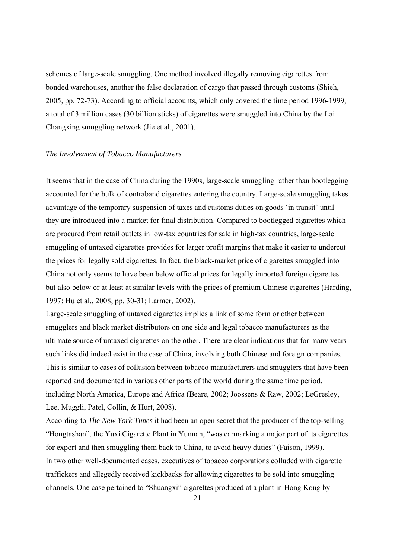schemes of large-scale smuggling. One method involved illegally removing cigarettes from bonded warehouses, another the false declaration of cargo that passed through customs (Shieh, 2005, pp. 72-73). According to official accounts, which only covered the time period 1996-1999, a total of 3 million cases (30 billion sticks) of cigarettes were smuggled into China by the Lai Changxing smuggling network (Jie et al., 2001).

#### *The Involvement of Tobacco Manufacturers*

It seems that in the case of China during the 1990s, large-scale smuggling rather than bootlegging accounted for the bulk of contraband cigarettes entering the country. Large-scale smuggling takes advantage of the temporary suspension of taxes and customs duties on goods 'in transit' until they are introduced into a market for final distribution. Compared to bootlegged cigarettes which are procured from retail outlets in low-tax countries for sale in high-tax countries, large-scale smuggling of untaxed cigarettes provides for larger profit margins that make it easier to undercut the prices for legally sold cigarettes. In fact, the black-market price of cigarettes smuggled into China not only seems to have been below official prices for legally imported foreign cigarettes but also below or at least at similar levels with the prices of premium Chinese cigarettes (Harding, 1997; Hu et al., 2008, pp. 30-31; Larmer, 2002).

Large-scale smuggling of untaxed cigarettes implies a link of some form or other between smugglers and black market distributors on one side and legal tobacco manufacturers as the ultimate source of untaxed cigarettes on the other. There are clear indications that for many years such links did indeed exist in the case of China, involving both Chinese and foreign companies. This is similar to cases of collusion between tobacco manufacturers and smugglers that have been reported and documented in various other parts of the world during the same time period, including North America, Europe and Africa (Beare, 2002; Joossens & Raw, 2002; LeGresley, Lee, Muggli, Patel, Collin, & Hurt, 2008).

According to *The New York Times* it had been an open secret that the producer of the top-selling "Hongtashan", the Yuxi Cigarette Plant in Yunnan, "was earmarking a major part of its cigarettes for export and then smuggling them back to China, to avoid heavy duties" (Faison, 1999). In two other well-documented cases, executives of tobacco corporations colluded with cigarette traffickers and allegedly received kickbacks for allowing cigarettes to be sold into smuggling channels. One case pertained to "Shuangxi" cigarettes produced at a plant in Hong Kong by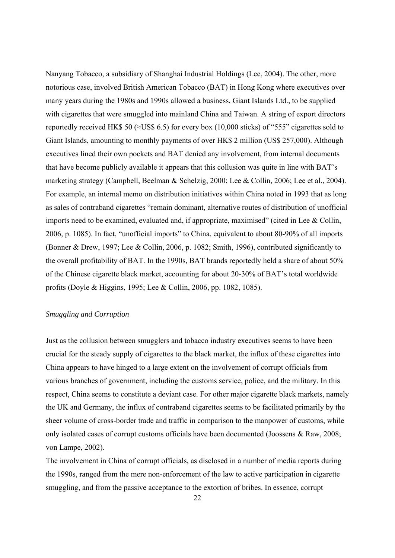Nanyang Tobacco, a subsidiary of Shanghai Industrial Holdings (Lee, 2004). The other, more notorious case, involved British American Tobacco (BAT) in Hong Kong where executives over many years during the 1980s and 1990s allowed a business, Giant Islands Ltd., to be supplied with cigarettes that were smuggled into mainland China and Taiwan. A string of export directors reportedly received HK\$ 50 ( $\approx$ US\$ 6.5) for every box (10,000 sticks) of "555" cigarettes sold to Giant Islands, amounting to monthly payments of over HK\$ 2 million (US\$ 257,000). Although executives lined their own pockets and BAT denied any involvement, from internal documents that have become publicly available it appears that this collusion was quite in line with BAT's marketing strategy (Campbell, Beelman & Schelzig, 2000; Lee & Collin, 2006; Lee et al., 2004). For example, an internal memo on distribution initiatives within China noted in 1993 that as long as sales of contraband cigarettes "remain dominant, alternative routes of distribution of unofficial imports need to be examined, evaluated and, if appropriate, maximised" (cited in Lee  $&$  Collin, 2006, p. 1085). In fact, "unofficial imports" to China, equivalent to about 80-90% of all imports (Bonner & Drew, 1997; Lee & Collin, 2006, p. 1082; Smith, 1996), contributed significantly to the overall profitability of BAT. In the 1990s, BAT brands reportedly held a share of about 50% of the Chinese cigarette black market, accounting for about 20-30% of BAT's total worldwide profits (Doyle & Higgins, 1995; Lee & Collin, 2006, pp. 1082, 1085).

#### *Smuggling and Corruption*

Just as the collusion between smugglers and tobacco industry executives seems to have been crucial for the steady supply of cigarettes to the black market, the influx of these cigarettes into China appears to have hinged to a large extent on the involvement of corrupt officials from various branches of government, including the customs service, police, and the military. In this respect, China seems to constitute a deviant case. For other major cigarette black markets, namely the UK and Germany, the influx of contraband cigarettes seems to be facilitated primarily by the sheer volume of cross-border trade and traffic in comparison to the manpower of customs, while only isolated cases of corrupt customs officials have been documented (Joossens & Raw, 2008; von Lampe, 2002).

The involvement in China of corrupt officials, as disclosed in a number of media reports during the 1990s, ranged from the mere non-enforcement of the law to active participation in cigarette smuggling, and from the passive acceptance to the extortion of bribes. In essence, corrupt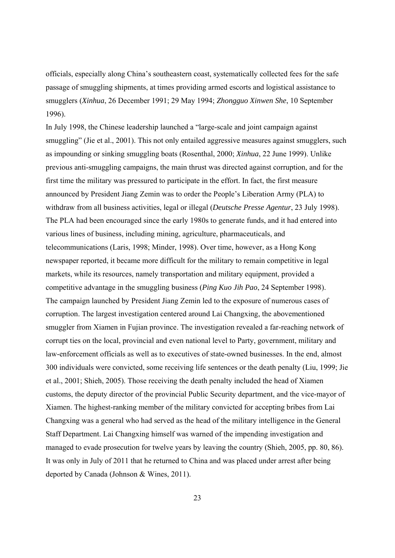officials, especially along China's southeastern coast, systematically collected fees for the safe passage of smuggling shipments, at times providing armed escorts and logistical assistance to smugglers (*Xinhua*, 26 December 1991; 29 May 1994; *Zhongguo Xinwen She*, 10 September 1996).

In July 1998, the Chinese leadership launched a "large-scale and joint campaign against smuggling" (Jie et al., 2001). This not only entailed aggressive measures against smugglers, such as impounding or sinking smuggling boats (Rosenthal, 2000; *Xinhua*, 22 June 1999). Unlike previous anti-smuggling campaigns, the main thrust was directed against corruption, and for the first time the military was pressured to participate in the effort. In fact, the first measure announced by President Jiang Zemin was to order the People's Liberation Army (PLA) to withdraw from all business activities, legal or illegal (*Deutsche Presse Agentur*, 23 July 1998). The PLA had been encouraged since the early 1980s to generate funds, and it had entered into various lines of business, including mining, agriculture, pharmaceuticals, and telecommunications (Laris, 1998; Minder, 1998). Over time, however, as a Hong Kong newspaper reported, it became more difficult for the military to remain competitive in legal markets, while its resources, namely transportation and military equipment, provided a competitive advantage in the smuggling business (*Ping Kuo Jih Pao*, 24 September 1998). The campaign launched by President Jiang Zemin led to the exposure of numerous cases of corruption. The largest investigation centered around Lai Changxing, the abovementioned smuggler from Xiamen in Fujian province. The investigation revealed a far-reaching network of corrupt ties on the local, provincial and even national level to Party, government, military and law-enforcement officials as well as to executives of state-owned businesses. In the end, almost 300 individuals were convicted, some receiving life sentences or the death penalty (Liu, 1999; Jie et al., 2001; Shieh, 2005). Those receiving the death penalty included the head of Xiamen customs, the deputy director of the provincial Public Security department, and the vice-mayor of Xiamen. The highest-ranking member of the military convicted for accepting bribes from Lai Changxing was a general who had served as the head of the military intelligence in the General Staff Department. Lai Changxing himself was warned of the impending investigation and managed to evade prosecution for twelve years by leaving the country (Shieh, 2005, pp. 80, 86). It was only in July of 2011 that he returned to China and was placed under arrest after being deported by Canada (Johnson & Wines, 2011).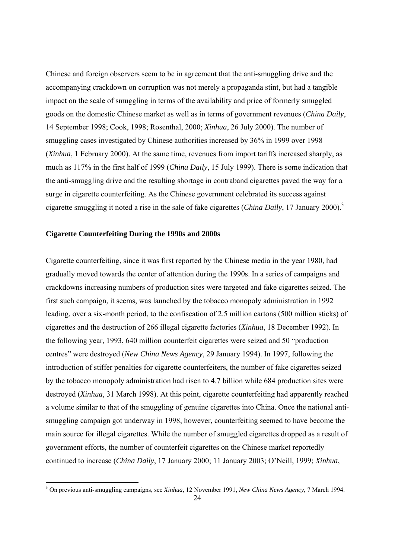Chinese and foreign observers seem to be in agreement that the anti-smuggling drive and the accompanying crackdown on corruption was not merely a propaganda stint, but had a tangible impact on the scale of smuggling in terms of the availability and price of formerly smuggled goods on the domestic Chinese market as well as in terms of government revenues (*China Daily*, 14 September 1998; Cook, 1998; Rosenthal, 2000; *Xinhua*, 26 July 2000). The number of smuggling cases investigated by Chinese authorities increased by 36% in 1999 over 1998 (*Xinhua*, 1 February 2000). At the same time, revenues from import tariffs increased sharply, as much as 117% in the first half of 1999 (*China Daily*, 15 July 1999). There is some indication that the anti-smuggling drive and the resulting shortage in contraband cigarettes paved the way for a surge in cigarette counterfeiting. As the Chinese government celebrated its success against cigarette smuggling it noted a rise in the sale of fake cigarettes (*China Daily*, 17 January 2000).3

## **Cigarette Counterfeiting During the 1990s and 2000s**

Cigarette counterfeiting, since it was first reported by the Chinese media in the year 1980, had gradually moved towards the center of attention during the 1990s. In a series of campaigns and crackdowns increasing numbers of production sites were targeted and fake cigarettes seized. The first such campaign, it seems, was launched by the tobacco monopoly administration in 1992 leading, over a six-month period, to the confiscation of 2.5 million cartons (500 million sticks) of cigarettes and the destruction of 266 illegal cigarette factories (*Xinhua*, 18 December 1992). In the following year, 1993, 640 million counterfeit cigarettes were seized and 50 "production centres" were destroyed (*New China News Agency*, 29 January 1994). In 1997, following the introduction of stiffer penalties for cigarette counterfeiters, the number of fake cigarettes seized by the tobacco monopoly administration had risen to 4.7 billion while 684 production sites were destroyed (*Xinhua*, 31 March 1998). At this point, cigarette counterfeiting had apparently reached a volume similar to that of the smuggling of genuine cigarettes into China. Once the national antismuggling campaign got underway in 1998, however, counterfeiting seemed to have become the main source for illegal cigarettes. While the number of smuggled cigarettes dropped as a result of government efforts, the number of counterfeit cigarettes on the Chinese market reportedly continued to increase (*China Daily*, 17 January 2000; 11 January 2003; O'Neill, 1999; *Xinhua*,

 3 On previous anti-smuggling campaigns, see *Xinhua*, 12 November 1991, *New China News Agency*, 7 March 1994.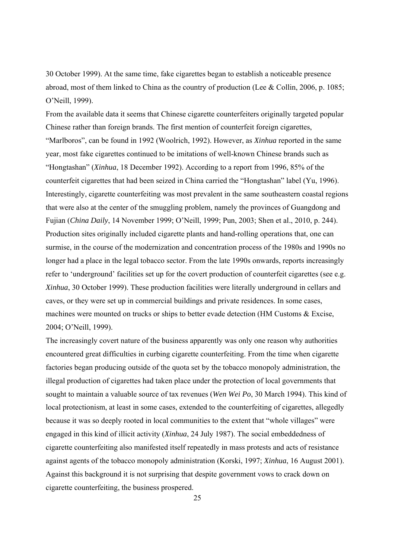30 October 1999). At the same time, fake cigarettes began to establish a noticeable presence abroad, most of them linked to China as the country of production (Lee & Collin, 2006, p. 1085; O'Neill, 1999).

From the available data it seems that Chinese cigarette counterfeiters originally targeted popular Chinese rather than foreign brands. The first mention of counterfeit foreign cigarettes, "Marlboros", can be found in 1992 (Woolrich, 1992). However, as *Xinhua* reported in the same year, most fake cigarettes continued to be imitations of well-known Chinese brands such as "Hongtashan" (*Xinhua*, 18 December 1992). According to a report from 1996, 85% of the counterfeit cigarettes that had been seized in China carried the "Hongtashan" label (Yu, 1996). Interestingly, cigarette counterfeiting was most prevalent in the same southeastern coastal regions that were also at the center of the smuggling problem, namely the provinces of Guangdong and Fujian (*China Daily*, 14 November 1999; O'Neill, 1999; Pun, 2003; Shen et al., 2010, p. 244). Production sites originally included cigarette plants and hand-rolling operations that, one can surmise, in the course of the modernization and concentration process of the 1980s and 1990s no longer had a place in the legal tobacco sector. From the late 1990s onwards, reports increasingly refer to 'underground' facilities set up for the covert production of counterfeit cigarettes (see e.g. *Xinhua*, 30 October 1999). These production facilities were literally underground in cellars and caves, or they were set up in commercial buildings and private residences. In some cases, machines were mounted on trucks or ships to better evade detection (HM Customs & Excise, 2004; O'Neill, 1999).

The increasingly covert nature of the business apparently was only one reason why authorities encountered great difficulties in curbing cigarette counterfeiting. From the time when cigarette factories began producing outside of the quota set by the tobacco monopoly administration, the illegal production of cigarettes had taken place under the protection of local governments that sought to maintain a valuable source of tax revenues (*Wen Wei Po*, 30 March 1994). This kind of local protectionism, at least in some cases, extended to the counterfeiting of cigarettes, allegedly because it was so deeply rooted in local communities to the extent that "whole villages" were engaged in this kind of illicit activity (*Xinhua*, 24 July 1987). The social embeddedness of cigarette counterfeiting also manifested itself repeatedly in mass protests and acts of resistance against agents of the tobacco monopoly administration (Korski, 1997; *Xinhua*, 16 August 2001). Against this background it is not surprising that despite government vows to crack down on cigarette counterfeiting, the business prospered.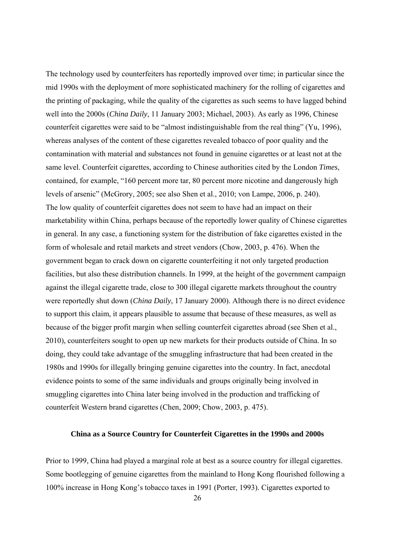The technology used by counterfeiters has reportedly improved over time; in particular since the mid 1990s with the deployment of more sophisticated machinery for the rolling of cigarettes and the printing of packaging, while the quality of the cigarettes as such seems to have lagged behind well into the 2000s (*China Daily*, 11 January 2003; Michael, 2003). As early as 1996, Chinese counterfeit cigarettes were said to be "almost indistinguishable from the real thing" (Yu, 1996), whereas analyses of the content of these cigarettes revealed tobacco of poor quality and the contamination with material and substances not found in genuine cigarettes or at least not at the same level. Counterfeit cigarettes, according to Chinese authorities cited by the London *Times*, contained, for example, "160 percent more tar, 80 percent more nicotine and dangerously high levels of arsenic" (McGrory, 2005; see also Shen et al., 2010; von Lampe, 2006, p. 240). The low quality of counterfeit cigarettes does not seem to have had an impact on their marketability within China, perhaps because of the reportedly lower quality of Chinese cigarettes in general. In any case, a functioning system for the distribution of fake cigarettes existed in the form of wholesale and retail markets and street vendors (Chow, 2003, p. 476). When the government began to crack down on cigarette counterfeiting it not only targeted production facilities, but also these distribution channels. In 1999, at the height of the government campaign against the illegal cigarette trade, close to 300 illegal cigarette markets throughout the country were reportedly shut down (*China Daily*, 17 January 2000). Although there is no direct evidence to support this claim, it appears plausible to assume that because of these measures, as well as because of the bigger profit margin when selling counterfeit cigarettes abroad (see Shen et al., 2010), counterfeiters sought to open up new markets for their products outside of China. In so doing, they could take advantage of the smuggling infrastructure that had been created in the 1980s and 1990s for illegally bringing genuine cigarettes into the country. In fact, anecdotal evidence points to some of the same individuals and groups originally being involved in smuggling cigarettes into China later being involved in the production and trafficking of counterfeit Western brand cigarettes (Chen, 2009; Chow, 2003, p. 475).

# **China as a Source Country for Counterfeit Cigarettes in the 1990s and 2000s**

Prior to 1999, China had played a marginal role at best as a source country for illegal cigarettes. Some bootlegging of genuine cigarettes from the mainland to Hong Kong flourished following a 100% increase in Hong Kong's tobacco taxes in 1991 (Porter, 1993). Cigarettes exported to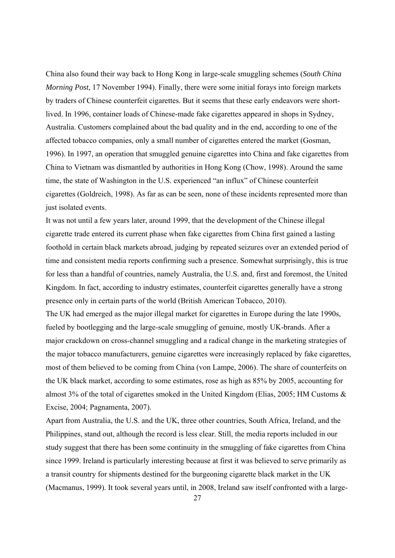China also found their way back to Hong Kong in large-scale smuggling schemes (*South China Morning Post*, 17 November 1994). Finally, there were some initial forays into foreign markets by traders of Chinese counterfeit cigarettes. But it seems that these early endeavors were shortlived. In 1996, container loads of Chinese-made fake cigarettes appeared in shops in Sydney, Australia. Customers complained about the bad quality and in the end, according to one of the affected tobacco companies, only a small number of cigarettes entered the market (Gosman, 1996). In 1997, an operation that smuggled genuine cigarettes into China and fake cigarettes from China to Vietnam was dismantled by authorities in Hong Kong (Chow, 1998). Around the same time, the state of Washington in the U.S. experienced "an influx" of Chinese counterfeit cigarettes (Goldreich, 1998). As far as can be seen, none of these incidents represented more than just isolated events.

It was not until a few years later, around 1999, that the development of the Chinese illegal cigarette trade entered its current phase when fake cigarettes from China first gained a lasting foothold in certain black markets abroad, judging by repeated seizures over an extended period of time and consistent media reports confirming such a presence. Somewhat surprisingly, this is true for less than a handful of countries, namely Australia, the U.S. and, first and foremost, the United Kingdom. In fact, according to industry estimates, counterfeit cigarettes generally have a strong presence only in certain parts of the world (British American Tobacco, 2010).

The UK had emerged as the major illegal market for cigarettes in Europe during the late 1990s, fueled by bootlegging and the large-scale smuggling of genuine, mostly UK-brands. After a major crackdown on cross-channel smuggling and a radical change in the marketing strategies of the major tobacco manufacturers, genuine cigarettes were increasingly replaced by fake cigarettes, most of them believed to be coming from China (von Lampe, 2006). The share of counterfeits on the UK black market, according to some estimates, rose as high as 85% by 2005, accounting for almost 3% of the total of cigarettes smoked in the United Kingdom (Elias, 2005; HM Customs & Excise, 2004; Pagnamenta, 2007).

Apart from Australia, the U.S. and the UK, three other countries, South Africa, Ireland, and the Philippines, stand out, although the record is less clear. Still, the media reports included in our study suggest that there has been some continuity in the smuggling of fake cigarettes from China since 1999. Ireland is particularly interesting because at first it was believed to serve primarily as a transit country for shipments destined for the burgeoning cigarette black market in the UK (Macmanus, 1999). It took several years until, in 2008, Ireland saw itself confronted with a large-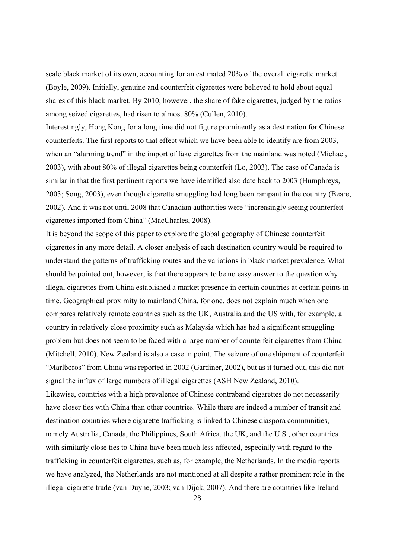scale black market of its own, accounting for an estimated 20% of the overall cigarette market (Boyle, 2009). Initially, genuine and counterfeit cigarettes were believed to hold about equal shares of this black market. By 2010, however, the share of fake cigarettes, judged by the ratios among seized cigarettes, had risen to almost 80% (Cullen, 2010).

Interestingly, Hong Kong for a long time did not figure prominently as a destination for Chinese counterfeits. The first reports to that effect which we have been able to identify are from 2003, when an "alarming trend" in the import of fake cigarettes from the mainland was noted (Michael, 2003), with about 80% of illegal cigarettes being counterfeit (Lo, 2003). The case of Canada is similar in that the first pertinent reports we have identified also date back to 2003 (Humphreys, 2003; Song, 2003), even though cigarette smuggling had long been rampant in the country (Beare, 2002). And it was not until 2008 that Canadian authorities were "increasingly seeing counterfeit cigarettes imported from China" (MacCharles, 2008).

It is beyond the scope of this paper to explore the global geography of Chinese counterfeit cigarettes in any more detail. A closer analysis of each destination country would be required to understand the patterns of trafficking routes and the variations in black market prevalence. What should be pointed out, however, is that there appears to be no easy answer to the question why illegal cigarettes from China established a market presence in certain countries at certain points in time. Geographical proximity to mainland China, for one, does not explain much when one compares relatively remote countries such as the UK, Australia and the US with, for example, a country in relatively close proximity such as Malaysia which has had a significant smuggling problem but does not seem to be faced with a large number of counterfeit cigarettes from China (Mitchell, 2010). New Zealand is also a case in point. The seizure of one shipment of counterfeit "Marlboros" from China was reported in 2002 (Gardiner, 2002), but as it turned out, this did not signal the influx of large numbers of illegal cigarettes (ASH New Zealand, 2010).

Likewise, countries with a high prevalence of Chinese contraband cigarettes do not necessarily have closer ties with China than other countries. While there are indeed a number of transit and destination countries where cigarette trafficking is linked to Chinese diaspora communities, namely Australia, Canada, the Philippines, South Africa, the UK, and the U.S., other countries with similarly close ties to China have been much less affected, especially with regard to the trafficking in counterfeit cigarettes, such as, for example, the Netherlands. In the media reports we have analyzed, the Netherlands are not mentioned at all despite a rather prominent role in the illegal cigarette trade (van Duyne, 2003; van Dijck, 2007). And there are countries like Ireland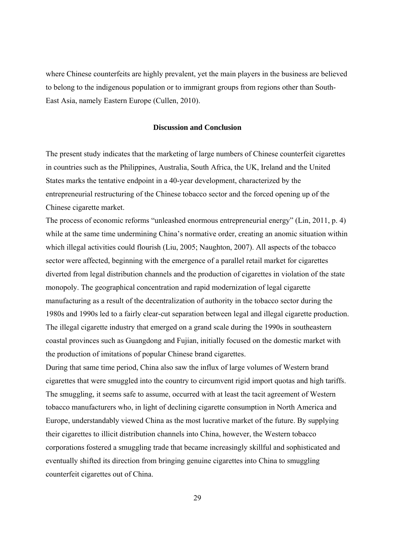where Chinese counterfeits are highly prevalent, yet the main players in the business are believed to belong to the indigenous population or to immigrant groups from regions other than South-East Asia, namely Eastern Europe (Cullen, 2010).

## **Discussion and Conclusion**

The present study indicates that the marketing of large numbers of Chinese counterfeit cigarettes in countries such as the Philippines, Australia, South Africa, the UK, Ireland and the United States marks the tentative endpoint in a 40-year development, characterized by the entrepreneurial restructuring of the Chinese tobacco sector and the forced opening up of the Chinese cigarette market.

The process of economic reforms "unleashed enormous entrepreneurial energy" (Lin, 2011, p. 4) while at the same time undermining China's normative order, creating an anomic situation within which illegal activities could flourish (Liu, 2005; Naughton, 2007). All aspects of the tobacco sector were affected, beginning with the emergence of a parallel retail market for cigarettes diverted from legal distribution channels and the production of cigarettes in violation of the state monopoly. The geographical concentration and rapid modernization of legal cigarette manufacturing as a result of the decentralization of authority in the tobacco sector during the 1980s and 1990s led to a fairly clear-cut separation between legal and illegal cigarette production. The illegal cigarette industry that emerged on a grand scale during the 1990s in southeastern coastal provinces such as Guangdong and Fujian, initially focused on the domestic market with the production of imitations of popular Chinese brand cigarettes.

During that same time period, China also saw the influx of large volumes of Western brand cigarettes that were smuggled into the country to circumvent rigid import quotas and high tariffs. The smuggling, it seems safe to assume, occurred with at least the tacit agreement of Western tobacco manufacturers who, in light of declining cigarette consumption in North America and Europe, understandably viewed China as the most lucrative market of the future. By supplying their cigarettes to illicit distribution channels into China, however, the Western tobacco corporations fostered a smuggling trade that became increasingly skillful and sophisticated and eventually shifted its direction from bringing genuine cigarettes into China to smuggling counterfeit cigarettes out of China.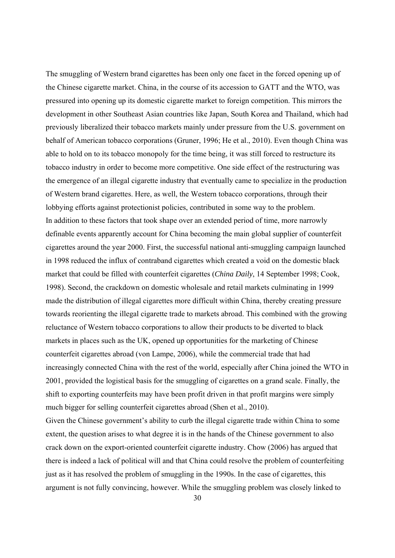The smuggling of Western brand cigarettes has been only one facet in the forced opening up of the Chinese cigarette market. China, in the course of its accession to GATT and the WTO, was pressured into opening up its domestic cigarette market to foreign competition. This mirrors the development in other Southeast Asian countries like Japan, South Korea and Thailand, which had previously liberalized their tobacco markets mainly under pressure from the U.S. government on behalf of American tobacco corporations (Gruner, 1996; He et al., 2010). Even though China was able to hold on to its tobacco monopoly for the time being, it was still forced to restructure its tobacco industry in order to become more competitive. One side effect of the restructuring was the emergence of an illegal cigarette industry that eventually came to specialize in the production of Western brand cigarettes. Here, as well, the Western tobacco corporations, through their lobbying efforts against protectionist policies, contributed in some way to the problem. In addition to these factors that took shape over an extended period of time, more narrowly definable events apparently account for China becoming the main global supplier of counterfeit cigarettes around the year 2000. First, the successful national anti-smuggling campaign launched in 1998 reduced the influx of contraband cigarettes which created a void on the domestic black market that could be filled with counterfeit cigarettes (*China Daily*, 14 September 1998; Cook, 1998). Second, the crackdown on domestic wholesale and retail markets culminating in 1999 made the distribution of illegal cigarettes more difficult within China, thereby creating pressure towards reorienting the illegal cigarette trade to markets abroad. This combined with the growing reluctance of Western tobacco corporations to allow their products to be diverted to black markets in places such as the UK, opened up opportunities for the marketing of Chinese counterfeit cigarettes abroad (von Lampe, 2006), while the commercial trade that had increasingly connected China with the rest of the world, especially after China joined the WTO in 2001, provided the logistical basis for the smuggling of cigarettes on a grand scale. Finally, the shift to exporting counterfeits may have been profit driven in that profit margins were simply much bigger for selling counterfeit cigarettes abroad (Shen et al., 2010).

Given the Chinese government's ability to curb the illegal cigarette trade within China to some extent, the question arises to what degree it is in the hands of the Chinese government to also crack down on the export-oriented counterfeit cigarette industry. Chow (2006) has argued that there is indeed a lack of political will and that China could resolve the problem of counterfeiting just as it has resolved the problem of smuggling in the 1990s. In the case of cigarettes, this argument is not fully convincing, however. While the smuggling problem was closely linked to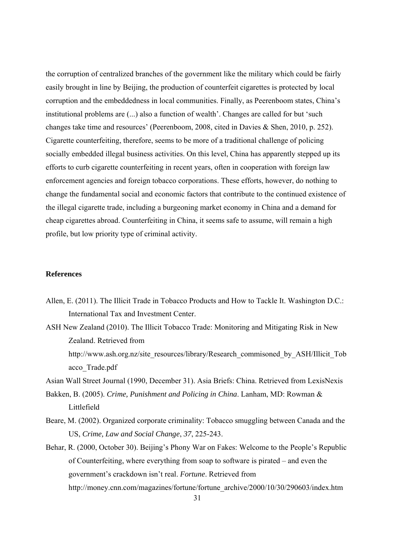the corruption of centralized branches of the government like the military which could be fairly easily brought in line by Beijing, the production of counterfeit cigarettes is protected by local corruption and the embeddedness in local communities. Finally, as Peerenboom states, China's institutional problems are (...) also a function of wealth'. Changes are called for but 'such changes take time and resources' (Peerenboom, 2008, cited in Davies & Shen, 2010, p. 252). Cigarette counterfeiting, therefore, seems to be more of a traditional challenge of policing socially embedded illegal business activities. On this level, China has apparently stepped up its efforts to curb cigarette counterfeiting in recent years, often in cooperation with foreign law enforcement agencies and foreign tobacco corporations. These efforts, however, do nothing to change the fundamental social and economic factors that contribute to the continued existence of the illegal cigarette trade, including a burgeoning market economy in China and a demand for cheap cigarettes abroad. Counterfeiting in China, it seems safe to assume, will remain a high profile, but low priority type of criminal activity.

## **References**

acco\_Trade.pdf

- Allen, E. (2011). The Illicit Trade in Tobacco Products and How to Tackle It. Washington D.C.: International Tax and Investment Center.
- ASH New Zealand (2010). The Illicit Tobacco Trade: Monitoring and Mitigating Risk in New Zealand. Retrieved from http://www.ash.org.nz/site\_resources/library/Research\_commisoned\_by\_ASH/Illicit\_Tob

Asian Wall Street Journal (1990, December 31). Asia Briefs: China. Retrieved from LexisNexis

- Bakken, B. (2005). *Crime, Punishment and Policing in China*. Lanham, MD: Rowman & Littlefield
- Beare, M. (2002). Organized corporate criminality: Tobacco smuggling between Canada and the US, *Crime, Law and Social Change*, *37*, 225-243.
- Behar, R. (2000, October 30). Beijing's Phony War on Fakes: Welcome to the People's Republic of Counterfeiting, where everything from soap to software is pirated – and even the government's crackdown isn't real. *Fortune*. Retrieved from http://money.cnn.com/magazines/fortune/fortune\_archive/2000/10/30/290603/index.htm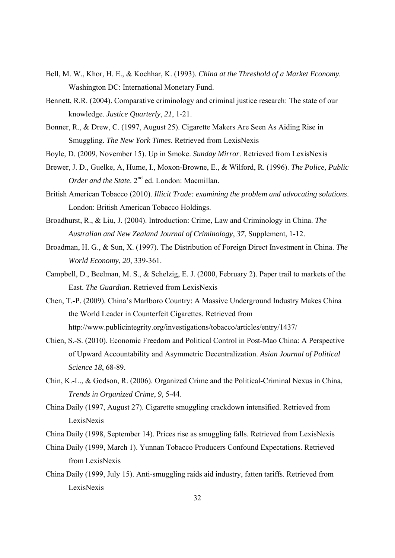- Bell, M. W., Khor, H. E., & Kochhar, K. (1993). *China at the Threshold of a Market Economy*. Washington DC: International Monetary Fund.
- Bennett, R.R. (2004). Comparative criminology and criminal justice research: The state of our knowledge. *Justice Quarterly*, *21*, 1-21.
- Bonner, R., & Drew, C. (1997, August 25). Cigarette Makers Are Seen As Aiding Rise in Smuggling. *The New York Times*. Retrieved from LexisNexis
- Boyle, D. (2009, November 15). Up in Smoke. *Sunday Mirror*. Retrieved from LexisNexis
- Brewer, J. D., Guelke, A, Hume, I., Moxon-Browne, E., & Wilford, R. (1996). *The Police, Public Order and the State*. 2<sup>nd</sup> ed. London: Macmillan.
- British American Tobacco (2010). *Illicit Trade: examining the problem and advocating solutions*. London: British American Tobacco Holdings.
- Broadhurst, R., & Liu, J. (2004). Introduction: Crime, Law and Criminology in China. *The Australian and New Zealand Journal of Criminology*, *37*, Supplement, 1-12.
- Broadman, H. G., & Sun, X. (1997). The Distribution of Foreign Direct Investment in China. *The World Economy*, *20*, 339-361.
- Campbell, D., Beelman, M. S., & Schelzig, E. J. (2000, February 2). Paper trail to markets of the East. *The Guardian*. Retrieved from LexisNexis
- Chen, T.-P. (2009). China's Marlboro Country: A Massive Underground Industry Makes China the World Leader in Counterfeit Cigarettes. Retrieved from http://www.publicintegrity.org/investigations/tobacco/articles/entry/1437/
- Chien, S.-S. (2010). Economic Freedom and Political Control in Post-Mao China: A Perspective of Upward Accountability and Asymmetric Decentralization. *Asian Journal of Political Science 18*, 68-89.
- Chin, K.-L., & Godson, R. (2006). Organized Crime and the Political-Criminal Nexus in China, *Trends in Organized Crime*, *9,* 5-44.
- China Daily (1997, August 27). Cigarette smuggling crackdown intensified. Retrieved from LexisNexis
- China Daily (1998, September 14). Prices rise as smuggling falls. Retrieved from LexisNexis
- China Daily (1999, March 1). Yunnan Tobacco Producers Confound Expectations. Retrieved from LexisNexis
- China Daily (1999, July 15). Anti-smuggling raids aid industry, fatten tariffs. Retrieved from LexisNexis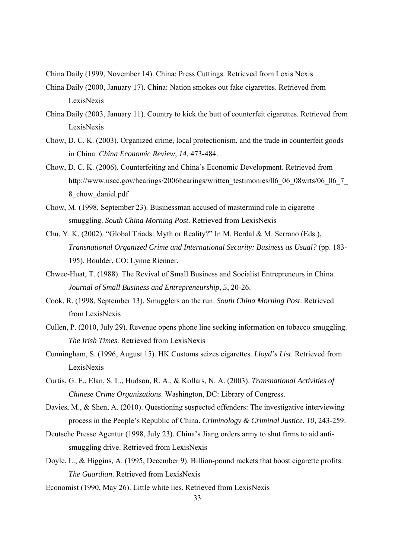- China Daily (1999, November 14). China: Press Cuttings. Retrieved from Lexis Nexis
- China Daily (2000, January 17). China: Nation smokes out fake cigarettes. Retrieved from LexisNexis
- China Daily (2003, January 11). Country to kick the butt of counterfeit cigarettes. Retrieved from LexisNexis
- Chow, D. C. K. (2003). Organized crime, local protectionism, and the trade in counterfeit goods in China. *China Economic Review*, *14*, 473-484.
- Chow, D. C. K. (2006). Counterfeiting and China's Economic Development. Retrieved from http://www.uscc.gov/hearings/2006hearings/written\_testimonies/06\_06\_08wrts/06\_06\_7 8\_chow\_daniel.pdf
- Chow, M. (1998, September 23). Businessman accused of mastermind role in cigarette smuggling. *South China Morning Post*. Retrieved from LexisNexis
- Chu, Y. K. (2002). "Global Triads: Myth or Reality?" In M. Berdal & M. Serrano (Eds.), *Transnational Organized Crime and International Security: Business as Usual?* (pp. 183- 195). Boulder, CO: Lynne Rienner.
- Chwee-Huat, T. (1988). The Revival of Small Business and Socialist Entrepreneurs in China. *Journal of Small Business and Entrepreneurship*, *5*, 20-26.
- Cook, R. (1998, September 13). Smugglers on the run. *South China Morning Post*. Retrieved from LexisNexis
- Cullen, P. (2010, July 29). Revenue opens phone line seeking information on tobacco smuggling. *The Irish Times*. Retrieved from LexisNexis
- Cunningham, S. (1996, August 15). HK Customs seizes cigarettes. *Lloyd's List*. Retrieved from LexisNexis
- Curtis, G. E., Elan, S. L., Hudson, R. A., & Kollars, N. A. (2003). *Transnational Activities of Chinese Crime Organizations*. Washington, DC: Library of Congress.
- Davies, M., & Shen, A. (2010). Questioning suspected offenders: The investigative interviewing process in the People's Republic of China. *Criminology & Criminal Justice*, *10,* 243-259.
- Deutsche Presse Agentur (1998, July 23). China's Jiang orders army to shut firms to aid antismuggling drive. Retrieved from LexisNexis
- Doyle, L., & Higgins, A. (1995, December 9). Billion-pound rackets that boost cigarette profits. *The Guardian*. Retrieved from LexisNexis
- Economist (1990, May 26). Little white lies. Retrieved from LexisNexis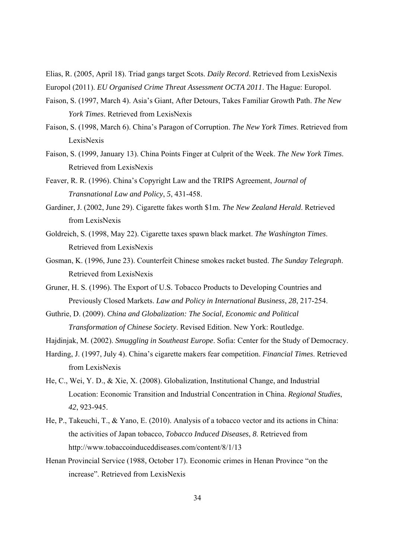Elias, R. (2005, April 18). Triad gangs target Scots. *Daily Record*. Retrieved from LexisNexis Europol (2011). *EU Organised Crime Threat Assessment OCTA 2011*. The Hague: Europol.

- Faison, S. (1997, March 4). Asia's Giant, After Detours, Takes Familiar Growth Path. *The New York Times*. Retrieved from LexisNexis
- Faison, S. (1998, March 6). China's Paragon of Corruption. *The New York Times*. Retrieved from LexisNexis
- Faison, S. (1999, January 13). China Points Finger at Culprit of the Week. *The New York Times*. Retrieved from LexisNexis
- Feaver, R. R. (1996). China's Copyright Law and the TRIPS Agreement, *Journal of Transnational Law and Policy*, *5*, 431-458.
- Gardiner, J. (2002, June 29). Cigarette fakes worth \$1m. *The New Zealand Herald*. Retrieved from LexisNexis
- Goldreich, S. (1998, May 22). Cigarette taxes spawn black market. *The Washington Times*. Retrieved from LexisNexis
- Gosman, K. (1996, June 23). Counterfeit Chinese smokes racket busted. *The Sunday Telegraph*. Retrieved from LexisNexis
- Gruner, H. S. (1996). The Export of U.S. Tobacco Products to Developing Countries and Previously Closed Markets. *Law and Policy in International Business*, *28*, 217-254.
- Guthrie, D. (2009). *China and Globalization: The Social, Economic and Political Transformation of Chinese Society*. Revised Edition. New York: Routledge.
- Hajdinjak, M. (2002). *Smuggling in Southeast Europe*. Sofia: Center for the Study of Democracy.
- Harding, J. (1997, July 4). China's cigarette makers fear competition. *Financial Times*. Retrieved from LexisNexis
- He, C., Wei, Y. D., & Xie, X. (2008). Globalization, Institutional Change, and Industrial Location: Economic Transition and Industrial Concentration in China. *Regional Studies*, *42*, 923-945.
- He, P., Takeuchi, T., & Yano, E. (2010). Analysis of a tobacco vector and its actions in China: the activities of Japan tobacco, *Tobacco Induced Diseases*, *8*. Retrieved from http://www.tobaccoinduceddiseases.com/content/8/1/13
- Henan Provincial Service (1988, October 17). Economic crimes in Henan Province "on the increase". Retrieved from LexisNexis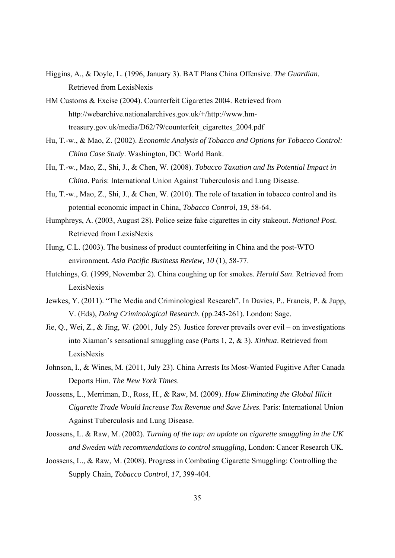- Higgins, A., & Doyle, L. (1996, January 3). BAT Plans China Offensive. *The Guardian*. Retrieved from LexisNexis
- HM Customs & Excise (2004). Counterfeit Cigarettes 2004. Retrieved from http://webarchive.nationalarchives.gov.uk/+/http://www.hmtreasury.gov.uk/media/D62/79/counterfeit\_cigarettes\_2004.pdf
- Hu, T.-w., & Mao, Z. (2002). *Economic Analysis of Tobacco and Options for Tobacco Control: China Case Study*. Washington, DC: World Bank.
- Hu, T.-w., Mao, Z., Shi, J., & Chen, W. (2008). *Tobacco Taxation and Its Potential Impact in China*. Paris: International Union Against Tuberculosis and Lung Disease.
- Hu, T.-w., Mao, Z., Shi, J., & Chen, W. (2010). The role of taxation in tobacco control and its potential economic impact in China, *Tobacco Control*, *19*, 58-64.
- Humphreys, A. (2003, August 28). Police seize fake cigarettes in city stakeout. *National Post*. Retrieved from LexisNexis
- Hung, C.L. (2003). The business of product counterfeiting in China and the post-WTO environment. *Asia Pacific Business Review, 10* (1), 58-77.
- Hutchings, G. (1999, November 2). China coughing up for smokes. *Herald Sun*. Retrieved from LexisNexis
- Jewkes, Y. (2011). "The Media and Criminological Research". In Davies, P., Francis, P. & Jupp, V. (Eds), *Doing Criminological Research.* (pp.245-261). London: Sage.
- Jie, Q., Wei, Z., & Jing, W. (2001, July 25). Justice forever prevails over evil on investigations into Xiaman's sensational smuggling case (Parts 1, 2, & 3). *Xinhua*. Retrieved from LexisNexis
- Johnson, I., & Wines, M. (2011, July 23). China Arrests Its Most-Wanted Fugitive After Canada Deports Him. *The New York Times*.
- Joossens, L., Merriman, D., Ross, H., & Raw, M. (2009). *How Eliminating the Global Illicit Cigarette Trade Would Increase Tax Revenue and Save Lives*. Paris: International Union Against Tuberculosis and Lung Disease.
- Joossens, L. & Raw, M. (2002). *Turning of the tap: an update on cigarette smuggling in the UK and Sweden with recommendations to control smuggling*, London: Cancer Research UK.
- Joossens, L., & Raw, M. (2008). Progress in Combating Cigarette Smuggling: Controlling the Supply Chain, *Tobacco Control*, *17*, 399-404.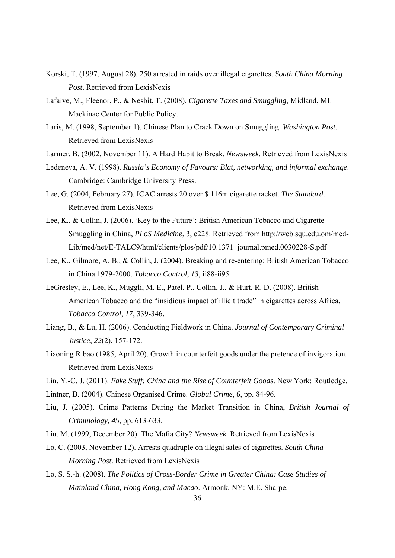- Korski, T. (1997, August 28). 250 arrested in raids over illegal cigarettes. *South China Morning Post*. Retrieved from LexisNexis
- Lafaive, M., Fleenor, P., & Nesbit, T. (2008). *Cigarette Taxes and Smuggling*, Midland, MI: Mackinac Center for Public Policy.
- Laris, M. (1998, September 1). Chinese Plan to Crack Down on Smuggling. *Washington Post*. Retrieved from LexisNexis
- Larmer, B. (2002, November 11). A Hard Habit to Break. *Newsweek*. Retrieved from LexisNexis
- Ledeneva, A. V. (1998). *Russia's Economy of Favours: Blat, networking, and informal exchange*. Cambridge: Cambridge University Press.
- Lee, G. (2004, February 27). ICAC arrests 20 over \$ 116m cigarette racket. *The Standard*. Retrieved from LexisNexis
- Lee, K., & Collin, J. (2006). 'Key to the Future': British American Tobacco and Cigarette Smuggling in China, *PLoS Medicine*, 3, e228. Retrieved from http://web.squ.edu.om/med-Lib/med/net/E-TALC9/html/clients/plos/pdf/10.1371\_journal.pmed.0030228-S.pdf
- Lee, K., Gilmore, A. B., & Collin, J. (2004). Breaking and re-entering: British American Tobacco in China 1979-2000. *Tobacco Control*, *13*, ii88-ii95.
- LeGresley, E., Lee, K., Muggli, M. E., Patel, P., Collin, J., & Hurt, R. D. (2008). British American Tobacco and the "insidious impact of illicit trade" in cigarettes across Africa, *Tobacco Control*, *17*, 339-346.
- Liang, B., & Lu, H. (2006). Conducting Fieldwork in China. *Journal of Contemporary Criminal Justice*, *22*(2), 157-172.
- Liaoning Ribao (1985, April 20). Growth in counterfeit goods under the pretence of invigoration. Retrieved from LexisNexis
- Lin, Y.-C. J. (2011). *Fake Stuff: China and the Rise of Counterfeit Goods*. New York: Routledge.
- Lintner, B. (2004). Chinese Organised Crime. *Global Crime*, *6*, pp. 84-96.
- Liu, J. (2005). Crime Patterns During the Market Transition in China, *British Journal of Criminology, 45*, pp. 613-633.
- Liu, M. (1999, December 20). The Mafia City? *Newsweek*. Retrieved from LexisNexis
- Lo, C. (2003, November 12). Arrests quadruple on illegal sales of cigarettes. *South China Morning Post*. Retrieved from LexisNexis
- Lo, S. S.-h. (2008). *The Politics of Cross-Border Crime in Greater China: Case Studies of Mainland China, Hong Kong, and Macao*. Armonk, NY: M.E. Sharpe.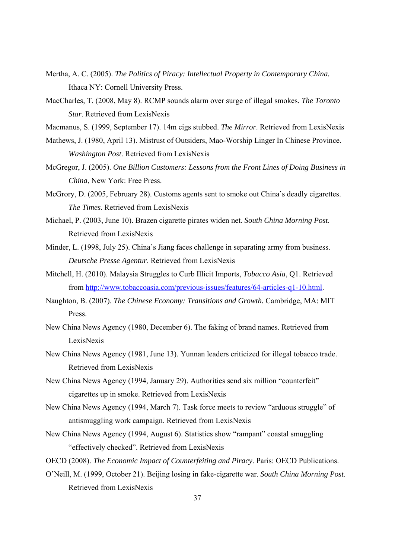- Mertha, A. C. (2005). *The Politics of Piracy: Intellectual Property in Contemporary China.* Ithaca NY: Cornell University Press.
- MacCharles, T. (2008, May 8). RCMP sounds alarm over surge of illegal smokes. *The Toronto Star*. Retrieved from LexisNexis
- Macmanus, S. (1999, September 17). 14m cigs stubbed. *The Mirror*. Retrieved from LexisNexis
- Mathews, J. (1980, April 13). Mistrust of Outsiders, Mao-Worship Linger In Chinese Province. *Washington Post*. Retrieved from LexisNexis
- McGregor, J. (2005). *One Billion Customers: Lessons from the Front Lines of Doing Business in China*, New York: Free Press.
- McGrory, D. (2005, February 28). Customs agents sent to smoke out China's deadly cigarettes. *The Times*. Retrieved from LexisNexis
- Michael, P. (2003, June 10). Brazen cigarette pirates widen net. *South China Morning Post*. Retrieved from LexisNexis
- Minder, L. (1998, July 25). China's Jiang faces challenge in separating army from business. *Deutsche Presse Agentur*. Retrieved from LexisNexis
- Mitchell, H. (2010). Malaysia Struggles to Curb Illicit Imports, *Tobacco Asia*, Q1. Retrieved from http://www.tobaccoasia.com/previous-issues/features/64-articles-q1-10.html.
- Naughton, B. (2007). *The Chinese Economy: Transitions and Growth.* Cambridge, MA: MIT Press.
- New China News Agency (1980, December 6). The faking of brand names. Retrieved from LexisNexis
- New China News Agency (1981, June 13). Yunnan leaders criticized for illegal tobacco trade. Retrieved from LexisNexis
- New China News Agency (1994, January 29). Authorities send six million "counterfeit" cigarettes up in smoke. Retrieved from LexisNexis
- New China News Agency (1994, March 7). Task force meets to review "arduous struggle" of antismuggling work campaign. Retrieved from LexisNexis
- New China News Agency (1994, August 6). Statistics show "rampant" coastal smuggling "effectively checked". Retrieved from LexisNexis
- OECD (2008). *The Economic Impact of Counterfeiting and Piracy*. Paris: OECD Publications.
- O'Neill, M. (1999, October 21). Beijing losing in fake-cigarette war. *South China Morning Post*. Retrieved from LexisNexis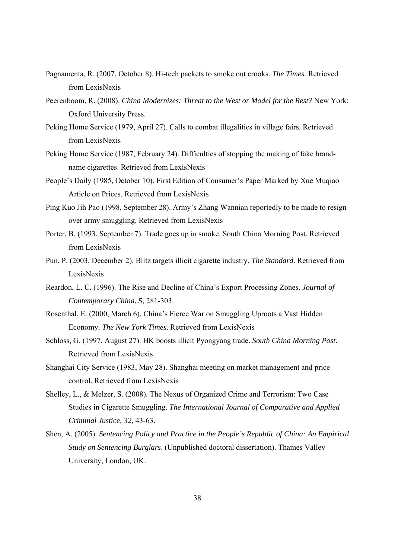- Pagnamenta, R. (2007, October 8). Hi-tech packets to smoke out crooks. *The Times*. Retrieved from LexisNexis
- Peerenboom, R. (2008). *China Modernizes: Threat to the West or Model for the Rest?* New York: Oxford University Press.
- Peking Home Service (1979, April 27). Calls to combat illegalities in village fairs. Retrieved from LexisNexis
- Peking Home Service (1987, February 24). Difficulties of stopping the making of fake brandname cigarettes. Retrieved from LexisNexis
- People's Daily (1985, October 10). First Edition of Consumer's Paper Marked by Xue Muqiao Article on Prices. Retrieved from LexisNexis
- Ping Kuo Jih Pao (1998, September 28). Army's Zhang Wannian reportedly to be made to resign over army smuggling. Retrieved from LexisNexis
- Porter, B. (1993, September 7). Trade goes up in smoke. South China Morning Post. Retrieved from LexisNexis
- Pun, P. (2003, December 2). Blitz targets illicit cigarette industry. *The Standard*. Retrieved from LexisNexis
- Reardon, L. C. (1996). The Rise and Decline of China's Export Processing Zones. *Journal of Contemporary China*, *5*, 281-303.
- Rosenthal, E. (2000, March 6). China's Fierce War on Smuggling Uproots a Vast Hidden Economy. *The New York Times*. Retrieved from LexisNexis
- Schloss, G. (1997, August 27). HK boosts illicit Pyongyang trade. *South China Morning Post*. Retrieved from LexisNexis
- Shanghai City Service (1983, May 28). Shanghai meeting on market management and price control. Retrieved from LexisNexis
- Shelley, L., & Melzer, S. (2008). The Nexus of Organized Crime and Terrorism: Two Case Studies in Cigarette Smuggling. *The International Journal of Comparative and Applied Criminal Justice, 32*, 43-63.
- Shen, A. (2005). *Sentencing Policy and Practice in the People's Republic of China: An Empirical Study on Sentencing Burglars*. (Unpublished doctoral dissertation). Thames Valley University, London, UK.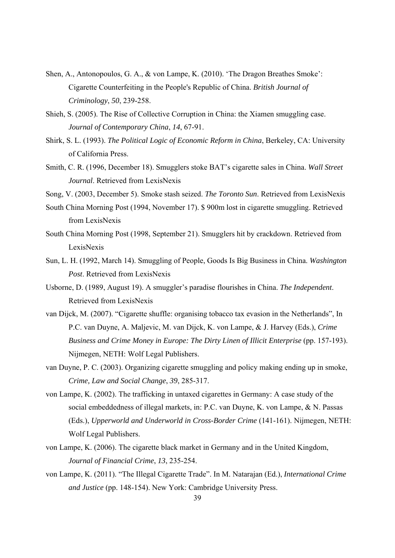- Shen, A., Antonopoulos, G. A., & von Lampe, K. (2010). 'The Dragon Breathes Smoke': Cigarette Counterfeiting in the People's Republic of China. *British Journal of Criminology*, *50*, 239-258.
- Shieh, S. (2005). The Rise of Collective Corruption in China: the Xiamen smuggling case. *Journal of Contemporary China*, *14*, 67-91.
- Shirk, S. L. (1993). *The Political Logic of Economic Reform in China*, Berkeley, CA: University of California Press.
- Smith, C. R. (1996, December 18). Smugglers stoke BAT's cigarette sales in China. *Wall Street Journal*. Retrieved from LexisNexis
- Song, V. (2003, December 5). Smoke stash seized. *The Toronto Sun*. Retrieved from LexisNexis
- South China Morning Post (1994, November 17). \$ 900m lost in cigarette smuggling. Retrieved from LexisNexis
- South China Morning Post (1998, September 21). Smugglers hit by crackdown. Retrieved from LexisNexis
- Sun, L. H. (1992, March 14). Smuggling of People, Goods Is Big Business in China. *Washington Post*. Retrieved from LexisNexis
- Usborne, D. (1989, August 19). A smuggler's paradise flourishes in China. *The Independent*. Retrieved from LexisNexis
- van Dijck, M. (2007). "Cigarette shuffle: organising tobacco tax evasion in the Netherlands", In P.C. van Duyne, A. Maljevic, M. van Dijck, K. von Lampe, & J. Harvey (Eds.), *Crime Business and Crime Money in Europe: The Dirty Linen of Illicit Enterprise* (pp. 157-193). Nijmegen, NETH: Wolf Legal Publishers.
- van Duyne, P. C. (2003). Organizing cigarette smuggling and policy making ending up in smoke, *Crime, Law and Social Change*, *39*, 285-317.
- von Lampe, K. (2002). The trafficking in untaxed cigarettes in Germany: A case study of the social embeddedness of illegal markets, in: P.C. van Duyne, K. von Lampe, & N. Passas (Eds.), *Upperworld and Underworld in Cross-Border Crime* (141-161). Nijmegen, NETH: Wolf Legal Publishers.
- von Lampe, K. (2006). The cigarette black market in Germany and in the United Kingdom, *Journal of Financial Crime*, *13*, 235-254.
- von Lampe, K. (2011). "The Illegal Cigarette Trade". In M. Natarajan (Ed.), *International Crime and Justice* (pp. 148-154). New York: Cambridge University Press.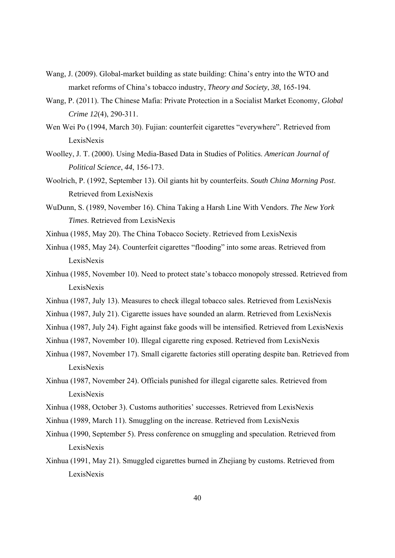- Wang, J. (2009). Global-market building as state building: China's entry into the WTO and market reforms of China's tobacco industry, *Theory and Society*, *38*, 165-194.
- Wang, P. (2011). The Chinese Mafia: Private Protection in a Socialist Market Economy, *Global Crime 12*(4), 290-311.
- Wen Wei Po (1994, March 30). Fujian: counterfeit cigarettes "everywhere". Retrieved from LexisNexis
- Woolley, J. T. (2000). Using Media-Based Data in Studies of Politics. *American Journal of Political Science*, *44*, 156-173.
- Woolrich, P. (1992, September 13). Oil giants hit by counterfeits. *South China Morning Post*. Retrieved from LexisNexis
- WuDunn, S. (1989, November 16). China Taking a Harsh Line With Vendors. *The New York Times*. Retrieved from LexisNexis
- Xinhua (1985, May 20). The China Tobacco Society. Retrieved from LexisNexis
- Xinhua (1985, May 24). Counterfeit cigarettes "flooding" into some areas. Retrieved from LexisNexis
- Xinhua (1985, November 10). Need to protect state's tobacco monopoly stressed. Retrieved from LexisNexis
- Xinhua (1987, July 13). Measures to check illegal tobacco sales. Retrieved from LexisNexis
- Xinhua (1987, July 21). Cigarette issues have sounded an alarm. Retrieved from LexisNexis
- Xinhua (1987, July 24). Fight against fake goods will be intensified. Retrieved from LexisNexis
- Xinhua (1987, November 10). Illegal cigarette ring exposed. Retrieved from LexisNexis
- Xinhua (1987, November 17). Small cigarette factories still operating despite ban. Retrieved from LexisNexis
- Xinhua (1987, November 24). Officials punished for illegal cigarette sales. Retrieved from LexisNexis
- Xinhua (1988, October 3). Customs authorities' successes. Retrieved from LexisNexis
- Xinhua (1989, March 11). Smuggling on the increase. Retrieved from LexisNexis
- Xinhua (1990, September 5). Press conference on smuggling and speculation. Retrieved from LexisNexis
- Xinhua (1991, May 21). Smuggled cigarettes burned in Zhejiang by customs. Retrieved from LexisNexis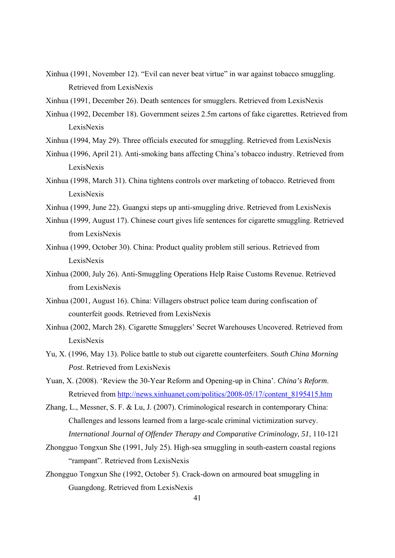- Xinhua (1991, November 12). "Evil can never beat virtue" in war against tobacco smuggling. Retrieved from LexisNexis
- Xinhua (1991, December 26). Death sentences for smugglers. Retrieved from LexisNexis
- Xinhua (1992, December 18). Government seizes 2.5m cartons of fake cigarettes. Retrieved from LexisNexis
- Xinhua (1994, May 29). Three officials executed for smuggling. Retrieved from LexisNexis
- Xinhua (1996, April 21). Anti-smoking bans affecting China's tobacco industry. Retrieved from LexisNexis
- Xinhua (1998, March 31). China tightens controls over marketing of tobacco. Retrieved from LexisNexis
- Xinhua (1999, June 22). Guangxi steps up anti-smuggling drive. Retrieved from LexisNexis
- Xinhua (1999, August 17). Chinese court gives life sentences for cigarette smuggling. Retrieved from LexisNexis
- Xinhua (1999, October 30). China: Product quality problem still serious. Retrieved from LexisNexis
- Xinhua (2000, July 26). Anti-Smuggling Operations Help Raise Customs Revenue. Retrieved from LexisNexis
- Xinhua (2001, August 16). China: Villagers obstruct police team during confiscation of counterfeit goods. Retrieved from LexisNexis
- Xinhua (2002, March 28). Cigarette Smugglers' Secret Warehouses Uncovered. Retrieved from LexisNexis
- Yu, X. (1996, May 13). Police battle to stub out cigarette counterfeiters. *South China Morning Post*. Retrieved from LexisNexis
- Yuan, X. (2008). 'Review the 30-Year Reform and Opening-up in China'. *China's Reform*. Retrieved from http://news.xinhuanet.com/politics/2008-05/17/content\_8195415.htm
- Zhang, L., Messner, S. F. & Lu, J. (2007). Criminological research in contemporary China: Challenges and lessons learned from a large-scale criminal victimization survey. *International Journal of Offender Therapy and Comparative Criminology*, *51*, 110-121
- Zhongguo Tongxun She (1991, July 25). High-sea smuggling in south-eastern coastal regions "rampant". Retrieved from LexisNexis
- Zhongguo Tongxun She (1992, October 5). Crack-down on armoured boat smuggling in Guangdong. Retrieved from LexisNexis